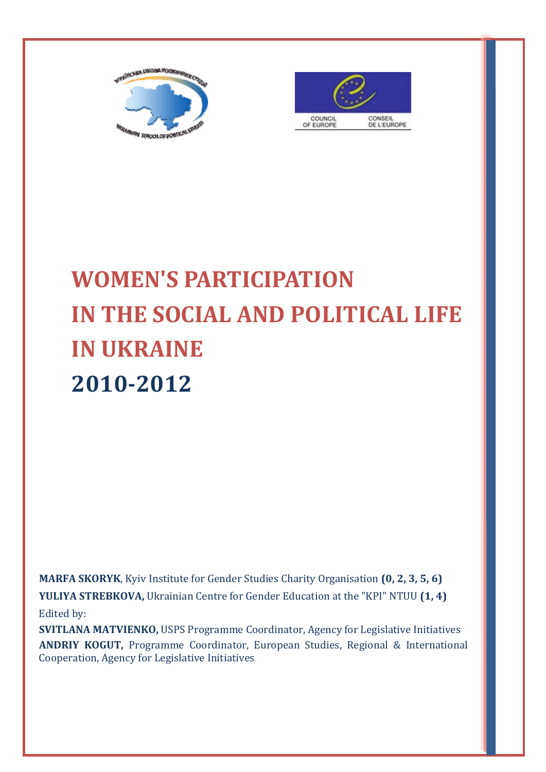



# **WOMEN'S PARTICIPATION IN THE SOCIAL AND POLITICAL LIFE IN UKRAINE 2010‐2012**

**MARFA SKORYK**, Kyiv Institute for Gender Studies Charity Organisation  $(0, 2, 3, 5, 6)$ **YULIYA STREBKOVA,** Ukrainian Centre for Gender Education at the "KPI" NTUU (1, 4) Edited by:

**SVITLANA MATVIENKO,** USPS Programme Coordinator, Agency for Legislative Initiatives **ANDRIY KOGUT,** Programme Coordinator, European Studies, Regional & International Cooperation, Agency for Legislative Initiatives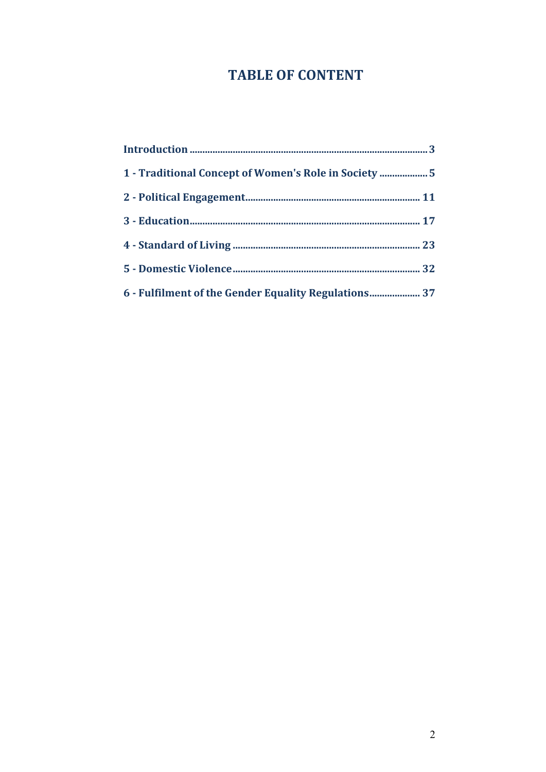## **TABLE OF CONTENT**

| 1 - Traditional Concept of Women's Role in Society  5 |
|-------------------------------------------------------|
|                                                       |
|                                                       |
|                                                       |
|                                                       |
| 6 - Fulfilment of the Gender Equality Regulations 37  |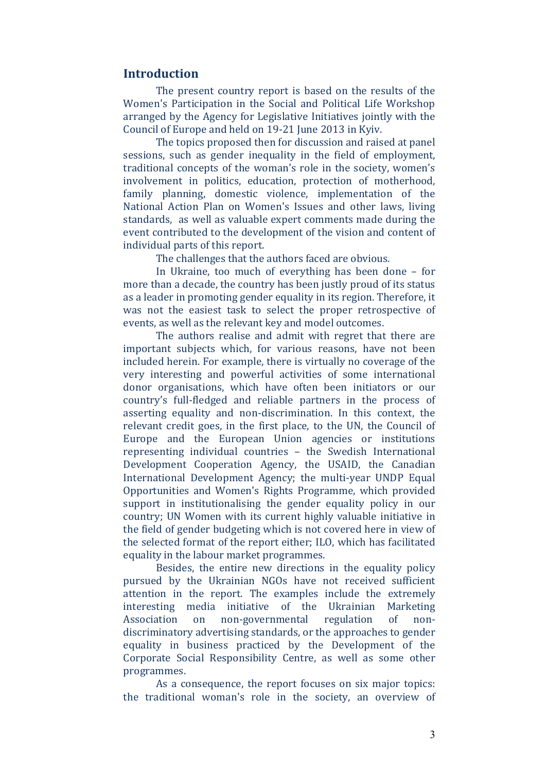#### **Introduction**

The present country report is based on the results of the Women's Participation in the Social and Political Life Workshop arranged by the Agency for Legislative Initiatives jointly with the Council of Europe and held on 19-21 June 2013 in Kyiv.

The topics proposed then for discussion and raised at panel sessions, such as gender inequality in the field of employment, traditional concepts of the woman's role in the society, women's involvement in politics, education, protection of motherhood, family planning, domestic violence, implementation of the National Action Plan on Women's Issues and other laws, living standards, as well as valuable expert comments made during the event contributed to the development of the vision and content of individual parts of this report.

The challenges that the authors faced are obvious.

In Ukraine, too much of everything has been done  $-$  for more than a decade, the country has been justly proud of its status as a leader in promoting gender equality in its region. Therefore, it was not the easiest task to select the proper retrospective of events, as well as the relevant key and model outcomes.

The authors realise and admit with regret that there are important subjects which, for various reasons, have not been included herein. For example, there is virtually no coverage of the very interesting and powerful activities of some international donor organisations, which have often been initiators or our country's full-fledged and reliable partners in the process of asserting equality and non-discrimination. In this context, the relevant credit goes, in the first place, to the UN, the Council of Europe and the European Union agencies or institutions representing individual countries - the Swedish International Development Cooperation Agency, the USAID, the Canadian International Development Agency; the multi-year UNDP Equal Opportunities and Women's Rights Programme, which provided support in institutionalising the gender equality policy in our country; UN Women with its current highly valuable initiative in the field of gender budgeting which is not covered here in view of the selected format of the report either; ILO, which has facilitated equality in the labour market programmes.

Besides, the entire new directions in the equality policy pursued by the Ukrainian NGOs have not received sufficient attention in the report. The examples include the extremely interesting media initiative of the Ukrainian Marketing Association on non-governmental regulation of nondiscriminatory advertising standards, or the approaches to gender equality in business practiced by the Development of the Corporate Social Responsibility Centre, as well as some other programmes. 

As a consequence, the report focuses on six major topics: the traditional woman's role in the society, an overview of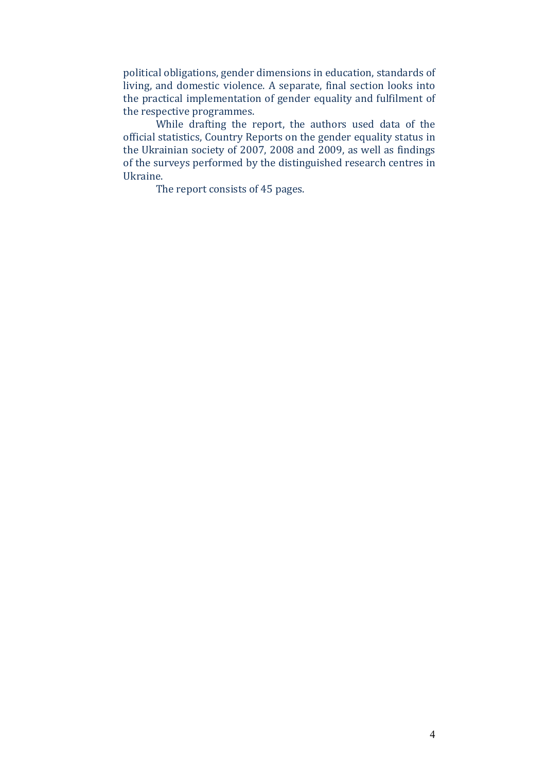political obligations, gender dimensions in education, standards of living, and domestic violence. A separate, final section looks into the practical implementation of gender equality and fulfilment of the respective programmes.

While drafting the report, the authors used data of the official statistics, Country Reports on the gender equality status in the Ukrainian society of 2007, 2008 and 2009, as well as findings of the surveys performed by the distinguished research centres in Ukraine. 

The report consists of 45 pages.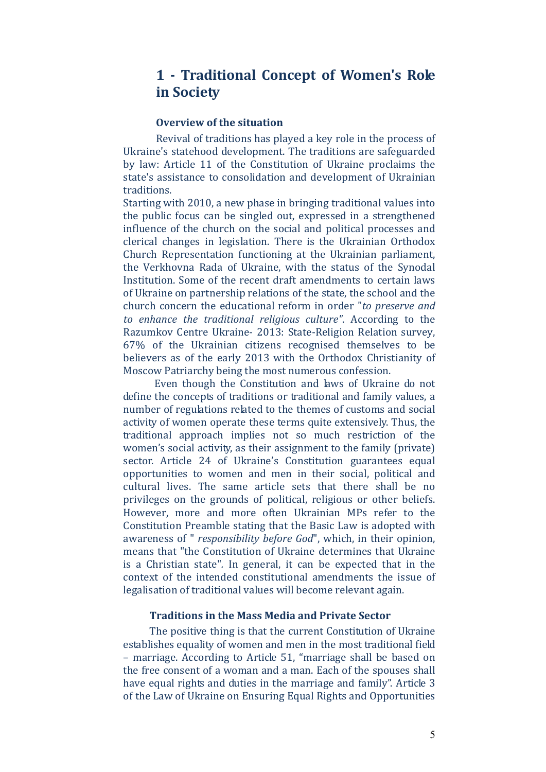## **1 ‐ Traditional Concept of Women's Role in Society**

#### **Overview of the situation**

Revival of traditions has played a key role in the process of Ukraine's statehood development. The traditions are safeguarded by law: Article 11 of the Constitution of Ukraine proclaims the state's assistance to consolidation and development of Ukrainian traditions. 

Starting with 2010, a new phase in bringing traditional values into the public focus can be singled out, expressed in a strengthened influence of the church on the social and political processes and clerical changes in legislation. There is the Ukrainian Orthodox Church Representation functioning at the Ukrainian parliament, the Verkhovna Rada of Ukraine, with the status of the Synodal Institution. Some of the recent draft amendments to certain laws of Ukraine on partnership relations of the state, the school and the church concern the educational reform in order "*to preserve and to enhance the traditional religious culture"*. According to the Razumkov Centre Ukraine - 2013: State-Religion Relation survey,  $67\%$  of the Ukrainian citizens recognised themselves to be believers as of the early 2013 with the Orthodox Christianity of Moscow Patriarchy being the most numerous confession.

Even though the Constitution and laws of Ukraine do not define the concepts of traditions or traditional and family values, a number of regulations related to the themes of customs and social activity of women operate these terms quite extensively. Thus, the traditional approach implies not so much restriction of the women's social activity, as their assignment to the family (private) sector. Article 24 of Ukraine's Constitution guarantees equal opportunities to women and men in their social, political and cultural lives. The same article sets that there shall be no privileges on the grounds of political, religious or other beliefs. However, more and more often Ukrainian MPs refer to the Constitution Preamble stating that the Basic Law is adopted with awareness of " *responsibility before God*", which, in their opinion, means that "the Constitution of Ukraine determines that Ukraine is a Christian state". In general, it can be expected that in the context of the intended constitutional amendments the issue of legalisation of traditional values will become relevant again.

#### **Traditions in the Mass Media and Private Sector**

The positive thing is that the current Constitution of Ukraine establishes equality of women and men in the most traditional field – marriage. According to Article 51, "marriage shall be based on the free consent of a woman and a man. Each of the spouses shall have equal rights and duties in the marriage and family". Article 3 of the Law of Ukraine on Ensuring Equal Rights and Opportunities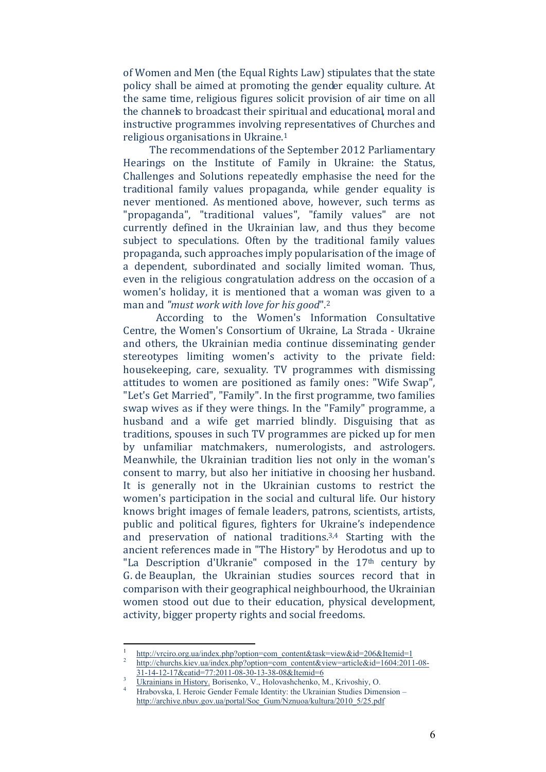of Women and Men (the Equal Rights Law) stipulates that the state policy shall be aimed at promoting the gender equality culture. At the same time, religious figures solicit provision of air time on all the channels to broadcast their spiritual and educational, moral and instructive programmes involving representatives of Churches and religious organisations in Ukraine.<sup>1</sup>

The recommendations of the September 2012 Parliamentary Hearings on the Institute of Family in Ukraine: the Status, Challenges and Solutions repeatedly emphasise the need for the traditional family values propaganda, while gender equality is never mentioned. As mentioned above, however, such terms as "propaganda", "traditional values", "family values" are not currently defined in the Ukrainian law, and thus they become subject to speculations. Often by the traditional family values propaganda, such approaches imply popularisation of the image of a dependent, subordinated and socially limited woman. Thus, even in the religious congratulation address on the occasion of a women's holiday, it is mentioned that a woman was given to a man and *"must work with love for his good*".2 

According to the Women's Information Consultative Centre, the Women's Consortium of Ukraine, La Strada - Ukraine and others, the Ukrainian media continue disseminating gender stereotypes limiting women's activity to the private field: housekeeping, care, sexuality. TV programmes with dismissing attitudes to women are positioned as family ones: "Wife Swap", "Let's Get Married", "Family". In the first programme, two families swap wives as if they were things. In the "Family" programme, a husband and a wife get married blindly. Disguising that as traditions, spouses in such TV programmes are picked up for men by unfamiliar matchmakers, numerologists, and astrologers, Meanwhile, the Ukrainian tradition lies not only in the woman's consent to marry, but also her initiative in choosing her husband. It is generally not in the Ukrainian customs to restrict the women's participation in the social and cultural life. Our history knows bright images of female leaders, patrons, scientists, artists, public and political figures, fighters for Ukraine's independence and preservation of national traditions.<sup>3,4</sup> Starting with the ancient references made in "The History" by Herodotus and up to "La Description d'Ukranie" composed in the  $17<sup>th</sup>$  century by G. de Beauplan, the Ukrainian studies sources record that in comparison with their geographical neighbourhood, the Ukrainian women stood out due to their education, physical development, activity, bigger property rights and social freedoms.

<sup>1</sup>  $\frac{1}{\text{http://vrciro.org.ua/index.php?option}=com\_content\&task=view\&id=206&Itemid=1}{2}$ 

http://churchs.kiev.ua/index.php?option=com\_content&view=article&id=1604:2011-08- 31-14-12-17&catid=77:2011-08-30-13-38-08&Itemid=6 3

Ukrainians in History. Borisenko, V., Holovashchenko, M., Krivoshiy, O.

<sup>4</sup> Hrabovska, I. Heroic Gender Female Identity: the Ukrainian Studies Dimension – http://archive.nbuv.gov.ua/portal/Soc\_Gum/Nznuoa/kultura/2010\_5/25.pdf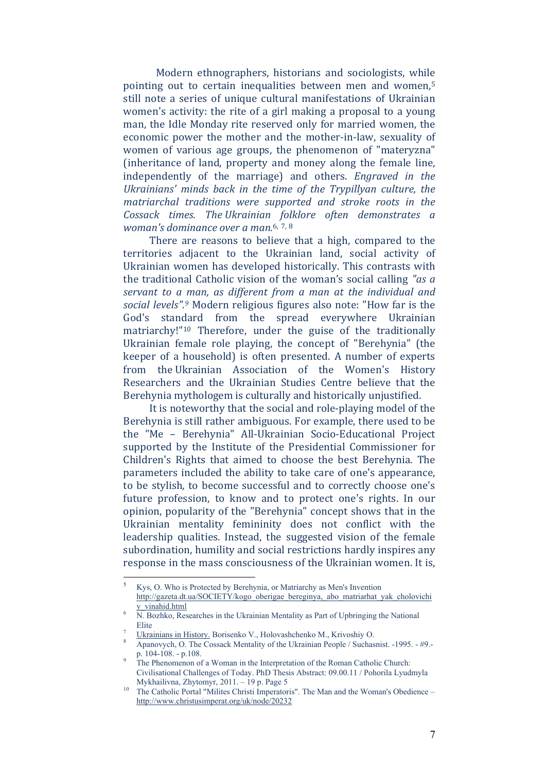Modern ethnographers, historians and sociologists, while pointing out to certain inequalities between men and women,<sup>5</sup> still note a series of unique cultural manifestations of Ukrainian women's activity: the rite of a girl making a proposal to a young man, the Idle Monday rite reserved only for married women, the economic power the mother and the mother-in-law, sexuality of women of various age groups, the phenomenon of "materyzna" (inheritance of land, property and money along the female line, independently of the marriage) and others. *Engraved in the Ukrainians' minds back in the time of the Trypillyan culture, the matriarchal traditions were supported and stroke roots in the Cossack times. The Ukrainian folklore often demonstrates a woman's dominance over a man.*6, 7, <sup>8</sup>

There are reasons to believe that a high, compared to the territories adjacent to the Ukrainian land, social activity of Ukrainian women has developed historically. This contrasts with the traditional Catholic vision of the woman's social calling "as a *servant to a man, as different from a man at the individual and social levels".*<sup>9</sup> Modern religious figures also note: "How far is the God's standard from the spread everywhere Ukrainian matriarchy!"<sup>10</sup> Therefore, under the guise of the traditionally Ukrainian female role playing, the concept of "Berehynia" (the keeper of a household) is often presented. A number of experts from the Ukrainian Association of the Women's History Researchers and the Ukrainian Studies Centre believe that the Berehynia mythologem is culturally and historically unjustified.

It is noteworthy that the social and role-playing model of the Berehynia is still rather ambiguous. For example, there used to be the "Me – Berehynia" All-Ukrainian Socio-Educational Project supported by the Institute of the Presidential Commissioner for Children's Rights that aimed to choose the best Berehynia. The parameters included the ability to take care of one's appearance, to be stylish, to become successful and to correctly choose one's future profession, to know and to protect one's rights. In our opinion, popularity of the "Berehynia" concept shows that in the Ukrainian mentality femininity does not conflict with the leadership qualities. Instead, the suggested vision of the female subordination, humility and social restrictions hardly inspires any response in the mass consciousness of the Ukrainian women. It is,

<sup>5</sup> Kys, O. Who is Protected by Berehynia, or Matriarchy as Men's Invention http://gazeta.dt.ua/SOCIETY/kogo\_oberigae\_bereginya,\_abo\_matriarhat\_yak\_cholovichi  $\frac{y\_vinahid.html}{x^2}$ 

N. Bozhko, Researches in the Ukrainian Mentality as Part of Upbringing the National **Elite** 

Ukrainians in History. Borisenko V., Holovashchenko M., Krivoshiy O. 8

Apanovych, O. The Cossack Mentality of the Ukrainian People / Suchasnist. -1995. - #9. p. 104-108. - p.108.

The Phenomenon of a Woman in the Interpretation of the Roman Catholic Church: Civilisational Challenges of Today. PhD Thesis Abstract: 09.00.11 / Pohorila Lyudmyla Mykhailivna, Zhytomyr, 2011. – 19 p. Page 5<br><sup>10</sup> The Catholic Portal "Milites Christi Imperatoris". The Man and the Woman's Obedience –

http://www.chrіstusіmperat.org/uk/node/20232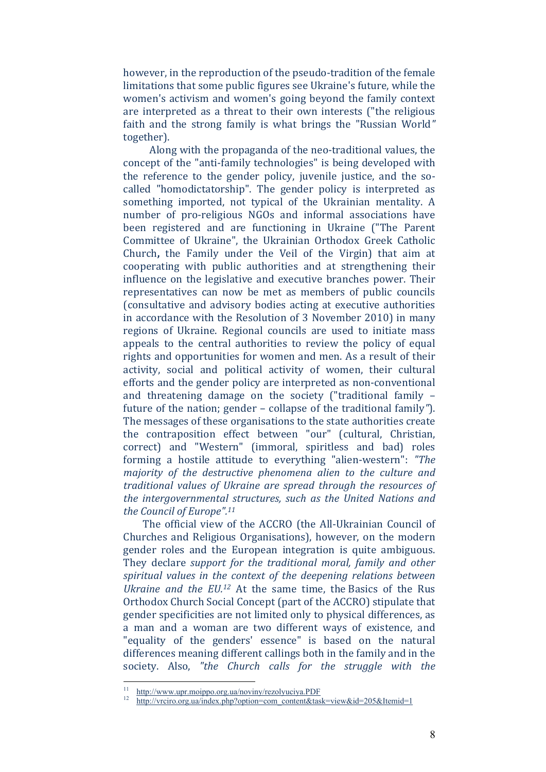however, in the reproduction of the pseudo-tradition of the female limitations that some public figures see Ukraine's future, while the women's activism and women's going beyond the family context are interpreted as a threat to their own interests ("the religious faith and the strong family is what brings the "Russian World" together).

Along with the propaganda of the neo-traditional values, the concept of the "anti-family technologies" is being developed with the reference to the gender policy, juvenile justice, and the socalled "homodictatorship". The gender policy is interpreted as something imported, not typical of the Ukrainian mentality. A number of pro-religious NGOs and informal associations have been registered and are functioning in Ukraine ("The Parent Committee of Ukraine", the Ukrainian Orthodox Greek Catholic Church, the Family under the Veil of the Virgin) that aim at cooperating with public authorities and at strengthening their influence on the legislative and executive branches power. Their representatives can now be met as members of public councils (consultative and advisory bodies acting at executive authorities in accordance with the Resolution of 3 November 2010) in many regions of Ukraine. Regional councils are used to initiate mass appeals to the central authorities to review the policy of equal rights and opportunities for women and men. As a result of their activity, social and political activity of women, their cultural efforts and the gender policy are interpreted as non-conventional and threatening damage on the society ("traditional family  $$ future of the nation; gender – collapse of the traditional family<sup>"</sup>). The messages of these organisations to the state authorities create the contraposition effect between "our" (cultural, Christian, correct) and "Western" (immoral, spiritless and bad) roles forming a hostile attitude to everything "alien-western": "The *majority of the destructive phenomena alien to the culture and traditional values of Ukraine are spread through the resources of the intergovernmental structures, such as the United Nations and the Council of Europe".11* 

The official view of the ACCRO (the All-Ukrainian Council of Churches and Religious Organisations), however, on the modern gender roles and the European integration is quite ambiguous. They declare *support for the traditional moral, family and other spiritual values in the context of the deepening relations between Ukraine and the EU.<sup>12</sup>* At the same time, the Basics of the Rus Orthodox Church Social Concept (part of the ACCRO) stipulate that gender specificities are not limited only to physical differences, as a man and a woman are two different ways of existence, and "equality of the genders' essence" is based on the natural differences meaning different callings both in the family and in the society. Also, *"the Church calls for the struggle with the*

http://www.upr.moippo.org.ua/noviny/rezolyuciya.PDF<br>http://vrciro.org.ua/index.php?option=com\_content&task=view&id=205&Itemid=1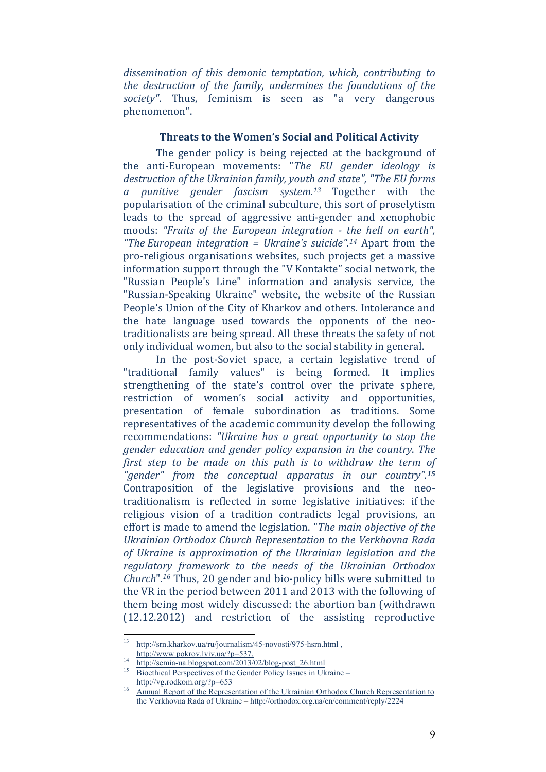*dissemination of this demonic temptation, which, contributing to the destruction of the family, undermines the foundations of the society*". Thus, feminism is seen as "a very dangerous phenomenon".

#### **Threats to the Women's Social and Political Activity**

The gender policy is being rejected at the background of the anti‐European movements: "*The EU gender ideology is destruction of the Ukrainian family, youth and state", "The EU forms a punitive gender fascism system.13* Together with the popularisation of the criminal subculture, this sort of proselytism leads to the spread of aggressive anti-gender and xenophobic moods: *"Fruits of the European integration ‐ the hell on earth", "The European integration = Ukraine's suicide".14* Apart from the pro-religious organisations websites, such projects get a massive information support through the "V Kontakte" social network, the "Russian People's Line" information and analysis service, the "Russian-Speaking Ukraine" website, the website of the Russian People's Union of the City of Kharkov and others. Intolerance and the hate language used towards the opponents of the neotraditionalists are being spread. All these threats the safety of not only individual women, but also to the social stability in general.

In the post-Soviet space, a certain legislative trend of "traditional family values" is being formed. It implies strengthening of the state's control over the private sphere, restriction of women's social activity and opportunities, presentation of female subordination as traditions. Some representatives of the academic community develop the following recommendations: *"Ukraine has a great opportunity to stop the gender education and gender policy expansion in the country*. *The first step to be made on this path is to withdraw the term of "gender" from the conceptual apparatus in our country".<sup>15</sup>* Contraposition of the legislative provisions and the neotraditionalism is reflected in some legislative initiatives: if the religious vision of a tradition contradicts legal provisions, an effort is made to amend the legislation. "*The main objective of the Ukrainian Orthodox Church Representation to the Verkhovna Rada of Ukraine is approximation of the Ukrainian legislation and the regulatory framework to the needs of the Ukrainian Orthodox Church*".<sup>16</sup> Thus, 20 gender and bio-policy bills were submitted to the VR in the period between 2011 and 2013 with the following of them being most widely discussed: the abortion ban (withdrawn) (12.12.2012) and restriction of the assisting reproductive

 $13<sup>°</sup>$ http://srn.kharkov.ua/ru/journalism/45-novosti/975-hsrn.html,

http://www.pokrov.lviv.ua/?p=537.<br>
14 http://semia-ua.blogspot.com/2013/02/blog-post\_26.html<br>
15 Bioethical Perspectives of the Gender Policy Issues in Ukraine –

http://vg.rodkom.org/?p=653<br><sup>16</sup> Annual Report of the Representation of the Ukrainian Orthodox Church Representation to the Verkhovna Rada of Ukraine – http://orthodox.org.ua/en/comment/reply/2224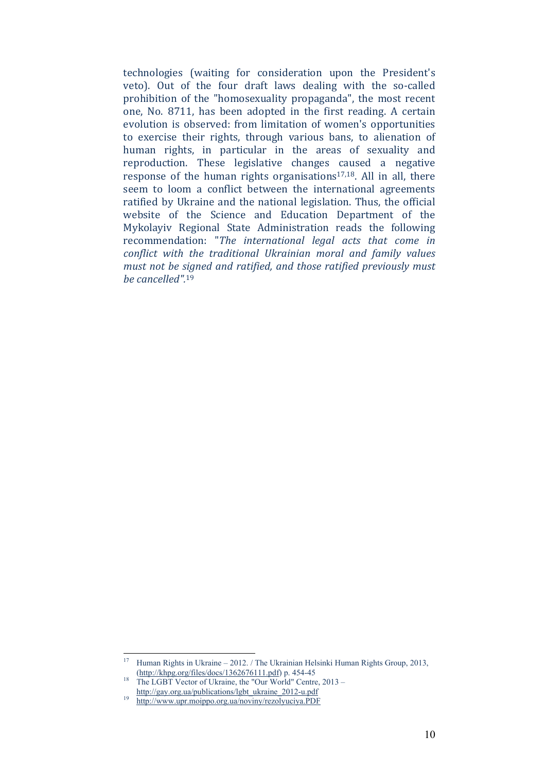technologies (waiting for consideration upon the President's veto). Out of the four draft laws dealing with the so-called prohibition of the "homosexuality propaganda", the most recent one, No. 8711, has been adopted in the first reading. A certain evolution is observed: from limitation of women's opportunities to exercise their rights, through various bans, to alienation of human rights, in particular in the areas of sexuality and reproduction. These legislative changes caused a negative response of the human rights organisations<sup>17,18</sup>. All in all, there seem to loom a conflict between the international agreements ratified by Ukraine and the national legislation. Thus, the official website of the Science and Education Department of the Mykolayiv Regional State Administration reads the following recommendation: "*The international legal acts that come in conflict with the traditional Ukrainian moral and family values must not be signed and ratified, and those ratified previously must be cancelled".*<sup>19</sup>

<sup>1</sup> <sup>17</sup> Human Rights in Ukraine – 2012. / The Ukrainian Helsinki Human Rights Group, 2013,

<sup>&</sup>lt;sup>18</sup> (http://khpg.org/files/docs/1362676111.pdf) p. 454-45<br><sup>18</sup> The LGBT Vector of Ukraine, the "Our World" Centre, 2013 –

http://gay.org.ua/publications/lgbt\_ukraine\_2012-u.pdf<br><sup>19</sup> http://www.upr.moippo.org.ua/noviny/rezolyuciya.PDF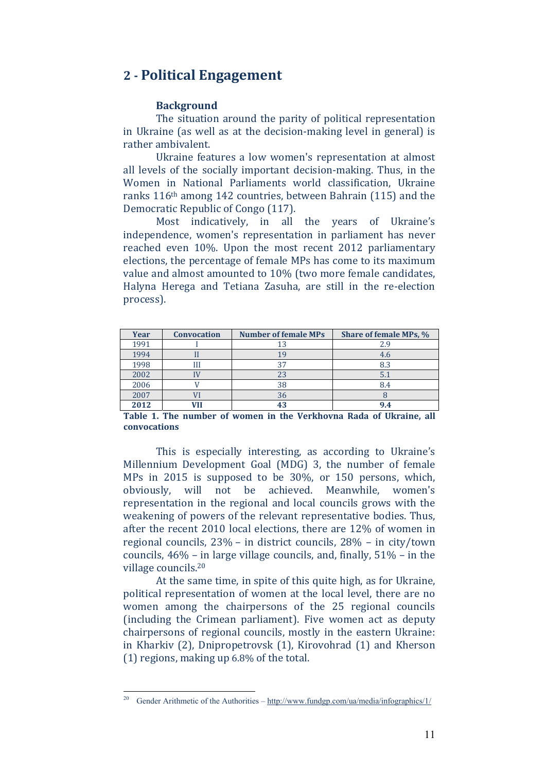## **2 ‐ Political Engagement**

#### Background

The situation around the parity of political representation in Ukraine (as well as at the decision-making level in general) is rather ambivalent.

Ukraine features a low women's representation at almost all levels of the socially important decision-making. Thus, in the Women in National Parliaments world classification, Ukraine ranks  $116<sup>th</sup>$  among 142 countries, between Bahrain (115) and the Democratic Republic of Congo (117).

Most indicatively, in all the years of Ukraine's independence, women's representation in parliament has never reached even 10%. Upon the most recent 2012 parliamentary elections, the percentage of female MPs has come to its maximum value and almost amounted to 10% (two more female candidates, Halyna Herega and Tetiana Zasuha, are still in the re-election process). 

| <b>Year</b> | <b>Convocation</b> | <b>Number of female MPs</b> | Share of female MPs, % |
|-------------|--------------------|-----------------------------|------------------------|
| 1991        |                    |                             | 2.9                    |
| 1994        |                    |                             | 4.6                    |
| 1998        | Ш                  | 37                          | 8.3                    |
| 2002        |                    | 23                          | 5.1                    |
| 2006        |                    | 38                          | 8.4                    |
| 2007        |                    | 36                          |                        |
| 2012        |                    | 43                          | 9.4                    |

**Table 1. The number of women in the Verkhovna Rada of Ukraine, all convocations**

This is especially interesting, as according to Ukraine's Millennium Development Goal (MDG) 3, the number of female MPs in  $2015$  is supposed to be  $30\%$ , or  $150$  persons, which, obviously, will not be achieved. Meanwhile, women's representation in the regional and local councils grows with the weakening of powers of the relevant representative bodies. Thus, after the recent  $2010$  local elections, there are  $12\%$  of women in regional councils,  $23\%$  – in district councils,  $28\%$  – in city/town councils,  $46\%$  – in large village councils, and, finally,  $51\%$  – in the village councils.<sup>20</sup>

At the same time, in spite of this quite high, as for Ukraine, political representation of women at the local level, there are no women among the chairpersons of the 25 regional councils (including the Crimean parliament). Five women act as deputy chairpersons of regional councils, mostly in the eastern Ukraine: in Kharkiv  $(2)$ , Dnipropetrovsk  $(1)$ , Kirovohrad  $(1)$  and Kherson  $(1)$  regions, making up  $6.8\%$  of the total.

<sup>&</sup>lt;sup>20</sup> Gender Arithmetic of the Authorities –  $\frac{http://www.fundgp.com/ua/media/infographics/1/}{$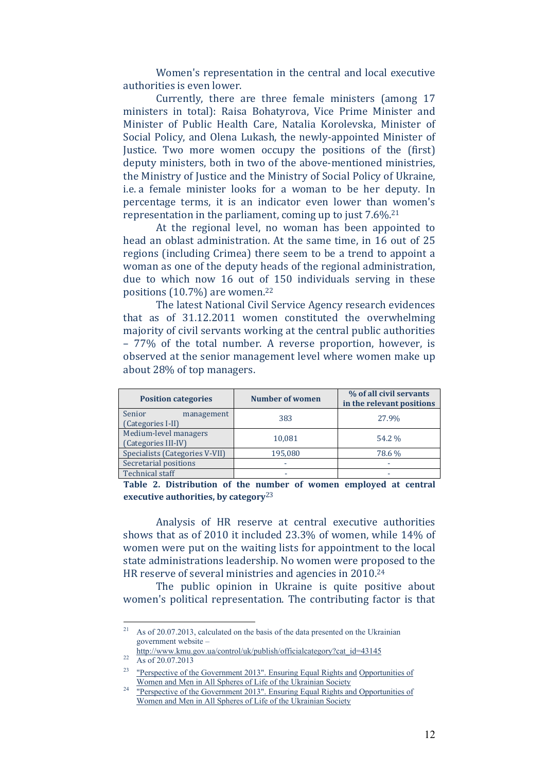Women's representation in the central and local executive authorities is even lower.

Currently, there are three female ministers (among 17 ministers in total): Raisa Bohatyrova, Vice Prime Minister and Minister of Public Health Care, Natalia Korolevska, Minister of Social Policy, and Olena Lukash, the newly-appointed Minister of Justice. Two more women occupy the positions of the (first) deputy ministers, both in two of the above-mentioned ministries, the Ministry of Justice and the Ministry of Social Policy of Ukraine, i.e. a female minister looks for a woman to be her deputy. In percentage terms, it is an indicator even lower than women's representation in the parliament, coming up to just  $7.6\%$ <sup>21</sup>

At the regional level, no woman has been appointed to head an oblast administration. At the same time, in 16 out of 25 regions (including Crimea) there seem to be a trend to appoint a woman as one of the deputy heads of the regional administration, due to which now 16 out of 150 individuals serving in these positions  $(10.7%)$  are women.<sup>22</sup>

The latest National Civil Service Agency research evidences that as of 31.12.2011 women constituted the overwhelming majority of civil servants working at the central public authorities  $-77\%$  of the total number. A reverse proportion, however, is observed at the senior management level where women make up about 28% of top managers.

| <b>Position categories</b>                   | <b>Number of women</b> | % of all civil servants<br>in the relevant positions |
|----------------------------------------------|------------------------|------------------------------------------------------|
| Senior<br>management<br>(Categories I-II)    | 383                    | 27.9%                                                |
| Medium-level managers<br>(Categories III-IV) | 10,081                 | 54.2 %                                               |
| Specialists (Categories V-VII)               | 195,080                | 78.6 %                                               |
| Secretarial positions                        |                        |                                                      |
| <b>Technical staff</b>                       |                        |                                                      |

**Table 2. Distribution of the number of women employed at central executive authorities, by category**23

Analysis of HR reserve at central executive authorities shows that as of 2010 it included  $23.3\%$  of women, while  $14\%$  of women were put on the waiting lists for appointment to the local state administrations leadership. No women were proposed to the HR reserve of several ministries and agencies in 2010.<sup>24</sup>

The public opinion in Ukraine is quite positive about women's political representation. The contributing factor is that

<sup>&</sup>lt;sup>21</sup> As of 20.07.2013, calculated on the basis of the data presented on the Ukrainian government website –

http://www.kmu.gov.ua/control/uk/publish/officialcategory?cat\_id=43145<br>As of 20.07.2013

<sup>&</sup>lt;sup>23</sup> "Perspective of the Government 2013". Ensuring Equal Rights and Opportunities of

Women and Men in All Spheres of Life of the Ukrainian Society 24 "Perspective of the Government 2013". Ensuring Equal Rights and Opportunities of Women and Men in All Spheres of Life of the Ukrainian Society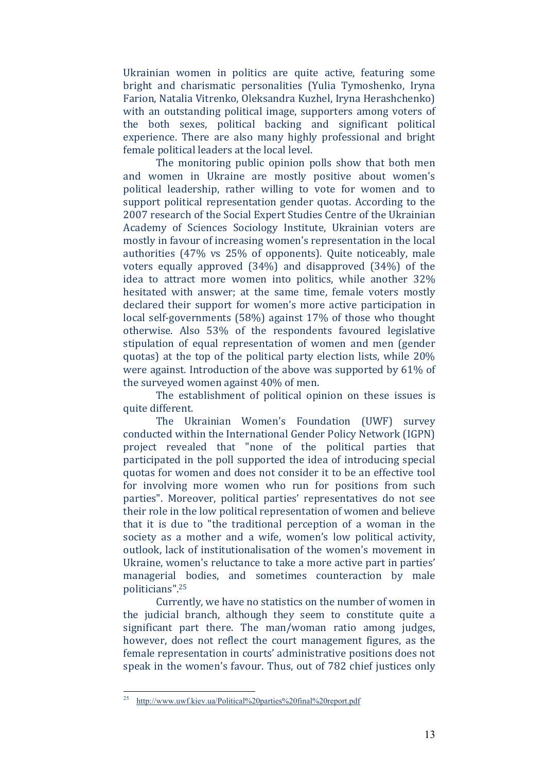Ukrainian women in politics are quite active, featuring some bright and charismatic personalities (Yulia Tymoshenko, Iryna Farion, Natalia Vitrenko, Oleksandra Kuzhel, Iryna Herashchenko) with an outstanding political image, supporters among voters of the both sexes, political backing and significant political experience. There are also many highly professional and bright female political leaders at the local level.

The monitoring public opinion polls show that both men and women in Ukraine are mostly positive about women's political leadership, rather willing to vote for women and to support political representation gender quotas. According to the 2007 research of the Social Expert Studies Centre of the Ukrainian Academy of Sciences Sociology Institute, Ukrainian voters are mostly in favour of increasing women's representation in the local authorities  $(47\% \text{ vs } 25\% \text{ of opponents})$ . Quite noticeably, male voters equally approved  $(34%)$  and disapproved  $(34%)$  of the idea to attract more women into politics, while another 32% hesitated with answer; at the same time, female voters mostly declared their support for women's more active participation in local self-governments  $(58%)$  against  $17%$  of those who thought otherwise. Also 53% of the respondents favoured legislative stipulation of equal representation of women and men (gender quotas) at the top of the political party election lists, while  $20\%$ were against. Introduction of the above was supported by  $61\%$  of the surveyed women against  $40\%$  of men.

The establishment of political opinion on these issues is quite different.

The Ukrainian Women's Foundation (UWF) survey conducted within the International Gender Policy Network (IGPN) project revealed that "none of the political parties that participated in the poll supported the idea of introducing special quotas for women and does not consider it to be an effective tool for involving more women who run for positions from such parties". Moreover, political parties' representatives do not see their role in the low political representation of women and believe that it is due to "the traditional perception of a woman in the society as a mother and a wife, women's low political activity, outlook, lack of institutionalisation of the women's movement in Ukraine, women's reluctance to take a more active part in parties' managerial bodies, and sometimes counteraction by male politicians".25

Currently, we have no statistics on the number of women in the judicial branch, although they seem to constitute quite a significant part there. The man/woman ratio among judges, however, does not reflect the court management figures, as the female representation in courts' administrative positions does not speak in the women's favour. Thus, out of 782 chief justices only

<sup>25</sup> 25 http://www.uwf.kiev.ua/Political%20parties%20final%20report.pdf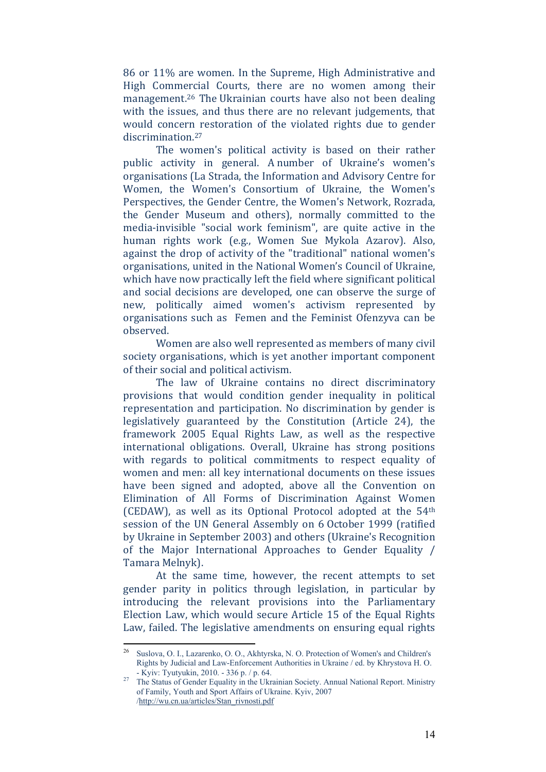86 or 11% are women. In the Supreme, High Administrative and High Commercial Courts, there are no women among their management.<sup>26</sup> The Ukrainian courts have also not been dealing with the issues, and thus there are no relevant judgements, that would concern restoration of the violated rights due to gender discrimination.<sup>27</sup>

The women's political activity is based on their rather public activity in general. A number of Ukraine's women's organisations (La Strada, the Information and Advisory Centre for Women, the Women's Consortium of Ukraine, the Women's Perspectives, the Gender Centre, the Women's Network, Rozrada, the Gender Museum and others), normally committed to the media-invisible "social work feminism", are quite active in the human rights work (e.g., Women Sue Mykola Azarov). Also, against the drop of activity of the "traditional" national women's organisations, united in the National Women's Council of Ukraine, which have now practically left the field where significant political and social decisions are developed, one can observe the surge of new, politically aimed women's activism represented by organisations such as Femen and the Feminist Ofenzyva can be observed. 

Women are also well represented as members of many civil society organisations, which is yet another important component of their social and political activism.

The law of Ukraine contains no direct discriminatory provisions that would condition gender inequality in political representation and participation. No discrimination by gender is legislatively guaranteed by the Constitution (Article 24), the framework 2005 Equal Rights Law, as well as the respective international obligations. Overall, Ukraine has strong positions with regards to political commitments to respect equality of women and men: all key international documents on these issues have been signed and adopted, above all the Convention on Elimination of All Forms of Discrimination Against Women (CEDAW), as well as its Optional Protocol adopted at the  $54<sup>th</sup>$ session of the UN General Assembly on 6 October 1999 (ratified by Ukraine in September 2003) and others (Ukraine's Recognition of the Major International Approaches to Gender Equality  $/$ Tamara Melnyk). 

At the same time, however, the recent attempts to set gender parity in politics through legislation, in particular by introducing the relevant provisions into the Parliamentary Election Law, which would secure Article 15 of the Equal Rights Law, failed. The legislative amendments on ensuring equal rights

<sup>&</sup>lt;sup>26</sup> Suslova, O. I., Lazarenko, O. O., Akhtyrska, N. O. Protection of Women's and Children's Rights by Judicial and Law-Enforcement Authorities in Ukraine / ed. by Khrystova H. O. - Kyiv: Tyutyukin, 2010. - 336 p. / p. 64.

<sup>&</sup>lt;sup>27</sup> The Status of Gender Equality in the Ukrainian Society. Annual National Report. Ministry of Family, Youth and Sport Affairs of Ukraine. Kyiv, 2007 /http://wu.cn.ua/artіcles/Stan\_rіvnostі.pdf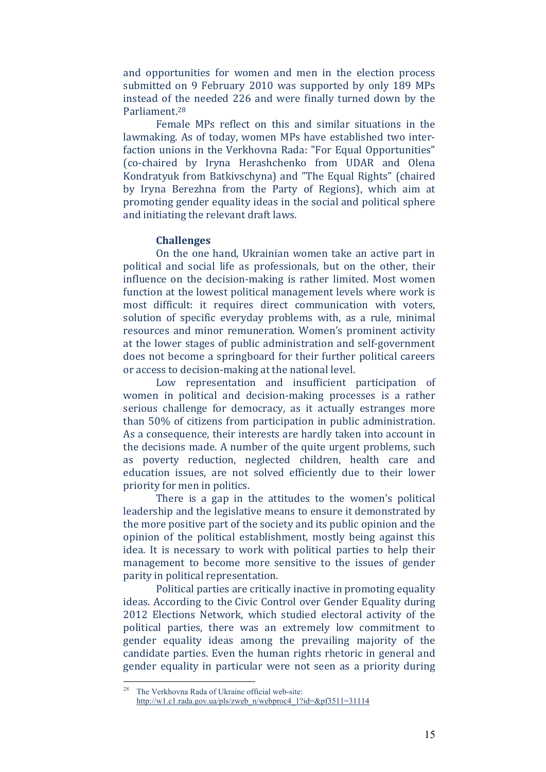and opportunities for women and men in the election process submitted on 9 February 2010 was supported by only 189 MPs instead of the needed 226 and were finally turned down by the Parliament<sup>28</sup>

Female MPs reflect on this and similar situations in the lawmaking. As of today, women MPs have established two interfaction unions in the Verkhovna Rada: "For Equal Opportunities" (co-chaired by Iryna Herashchenko from UDAR and Olena Kondratyuk from Batkiyschyna) and "The Equal Rights" (chaired by Iryna Berezhna from the Party of Regions), which aim at promoting gender equality ideas in the social and political sphere and initiating the relevant draft laws.

#### **Challenges**

On the one hand, Ukrainian women take an active part in political and social life as professionals, but on the other, their influence on the decision-making is rather limited. Most women function at the lowest political management levels where work is most difficult: it requires direct communication with voters, solution of specific everyday problems with, as a rule, minimal resources and minor remuneration. Women's prominent activity at the lower stages of public administration and self-government does not become a springboard for their further political careers or access to decision-making at the national level.

Low representation and insufficient participation of women in political and decision-making processes is a rather serious challenge for democracy, as it actually estranges more than 50% of citizens from participation in public administration. As a consequence, their interests are hardly taken into account in the decisions made. A number of the quite urgent problems, such as poverty reduction, neglected children, health care and education issues, are not solved efficiently due to their lower priority for men in politics.

There is a gap in the attitudes to the women's political leadership and the legislative means to ensure it demonstrated by the more positive part of the society and its public opinion and the opinion of the political establishment, mostly being against this idea. It is necessary to work with political parties to help their management to become more sensitive to the issues of gender parity in political representation.

Political parties are critically inactive in promoting equality ideas. According to the Civic Control over Gender Equality during 2012 Elections Network, which studied electoral activity of the political parties, there was an extremely low commitment to gender equality ideas among the prevailing majority of the candidate parties. Even the human rights rhetoric in general and gender equality in particular were not seen as a priority during

The Verkhovna Rada of Ukraine official web-site: http://w1.c1.rada.gov.ua/pls/zweb\_n/webproc4\_1?id=&pf3511=31114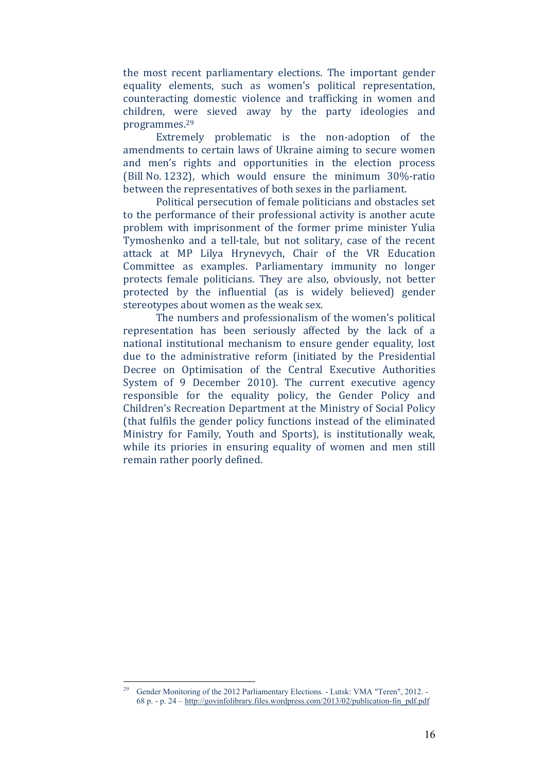the most recent parliamentary elections. The important gender equality elements, such as women's political representation, counteracting domestic violence and trafficking in women and children, were sieved away by the party ideologies and programmes.29 

Extremely problematic is the non-adoption of the amendments to certain laws of Ukraine aiming to secure women and men's rights and opportunities in the election process (Bill No. 1232), which would ensure the minimum  $30\%$ -ratio between the representatives of both sexes in the parliament.

Political persecution of female politicians and obstacles set to the performance of their professional activity is another acute problem with imprisonment of the former prime minister Yulia Tymoshenko and a tell-tale, but not solitary, case of the recent attack at MP Lilya Hrynevych, Chair of the VR Education Committee as examples. Parliamentary immunity no longer protects female politicians. They are also, obviously, not better protected by the influential (as is widely believed) gender stereotypes about women as the weak sex.

The numbers and professionalism of the women's political representation has been seriously affected by the lack of a national institutional mechanism to ensure gender equality, lost due to the administrative reform (initiated by the Presidential Decree on Optimisation of the Central Executive Authorities System of 9 December 2010). The current executive agency responsible for the equality policy, the Gender Policy and Children's Recreation Department at the Ministry of Social Policy (that fulfils the gender policy functions instead of the eliminated Ministry for Family, Youth and Sports), is institutionally weak, while its priories in ensuring equality of women and men still remain rather poorly defined.

<sup>1</sup> 29 Gender Monitoring of the 2012 Parliamentary Elections. - Lutsk: VMA "Teren", 2012. - 68 p. - p. 24 – http://govinfolibrary.files.wordpress.com/2013/02/publication-fin\_pdf.pdf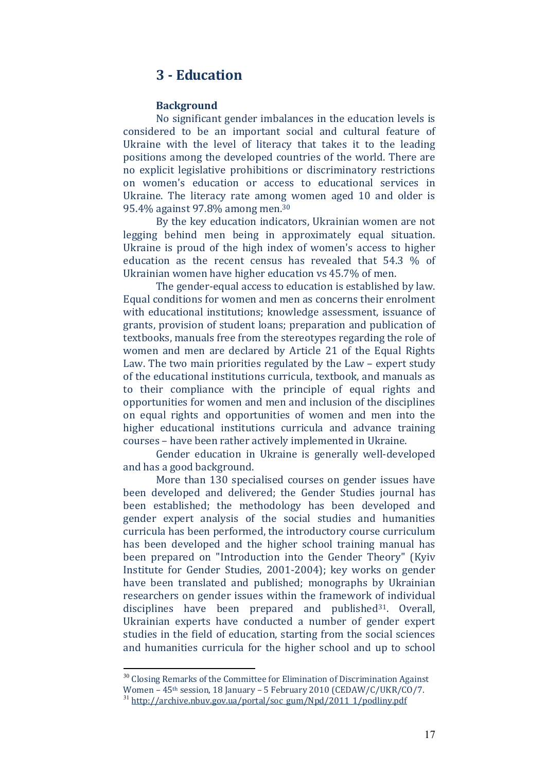## **3 ‐ Education**

#### **Background**

No significant gender imbalances in the education levels is considered to be an important social and cultural feature of Ukraine with the level of literacy that takes it to the leading positions among the developed countries of the world. There are no explicit legislative prohibitions or discriminatory restrictions on women's education or access to educational services in Ukraine. The literacy rate among women aged 10 and older is 95.4% against 97.8% among men.<sup>30</sup>

By the key education indicators, Ukrainian women are not legging behind men being in approximately equal situation. Ukraine is proud of the high index of women's access to higher education as the recent census has revealed that  $54.3\%$  of Ukrainian women have higher education vs 45.7% of men.

The gender-equal access to education is established by law. Equal conditions for women and men as concerns their enrolment with educational institutions; knowledge assessment, issuance of grants, provision of student loans; preparation and publication of textbooks, manuals free from the stereotypes regarding the role of women and men are declared by Article 21 of the Equal Rights Law. The two main priorities regulated by the Law – expert study of the educational institutions curricula, textbook, and manuals as to their compliance with the principle of equal rights and opportunities for women and men and inclusion of the disciplines on equal rights and opportunities of women and men into the higher educational institutions curricula and advance training courses – have been rather actively implemented in Ukraine.

Gender education in Ukraine is generally well-developed and has a good background.

More than 130 specialised courses on gender issues have been developed and delivered; the Gender Studies journal has been established; the methodology has been developed and gender expert analysis of the social studies and humanities curricula has been performed, the introductory course curriculum has been developed and the higher school training manual has been prepared on "Introduction into the Gender Theory" (Kyiv Institute for Gender Studies, 2001-2004); key works on gender have been translated and published; monographs by Ukrainian researchers on gender issues within the framework of individual disciplines have been prepared and published<sup>31</sup>. Overall, Ukrainian experts have conducted a number of gender expert studies in the field of education, starting from the social sciences and humanities curricula for the higher school and up to school

 $30$  Closing Remarks of the Committee for Elimination of Discrimination Against

Women –  $45$ <sup>th</sup> session, 18 January – 5 February 2010 (CEDAW/C/UKR/CO/7.

<sup>&</sup>lt;sup>31</sup> http://archive.nbuv.gov.ua/portal/soc\_gum/Npd/2011\_1/podliny.pdf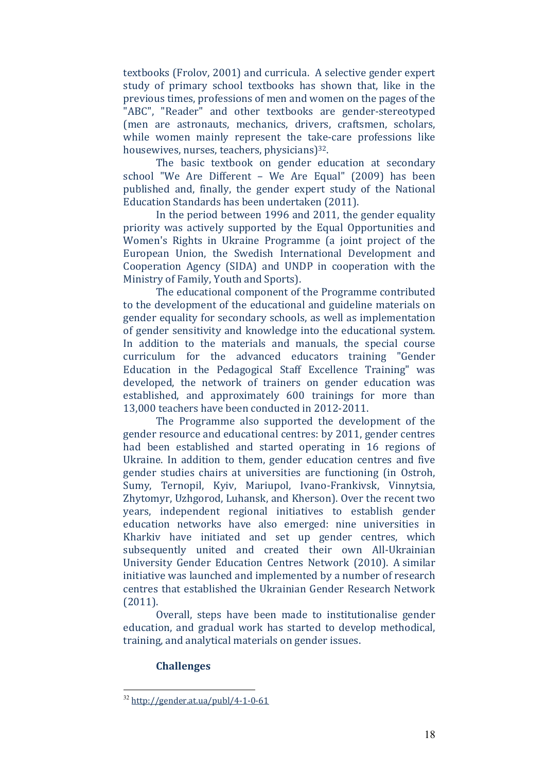textbooks (Frolov, 2001) and curricula. A selective gender expert study of primary school textbooks has shown that, like in the previous times, professions of men and women on the pages of the "ABC", "Reader" and other textbooks are gender-stereotyped (men are astronauts, mechanics, drivers, craftsmen, scholars, while women mainly represent the take-care professions like housewives, nurses, teachers, physicians)<sup>32</sup>.

The basic textbook on gender education at secondary school "We Are Different - We Are Equal" (2009) has been published and, finally, the gender expert study of the National Education Standards has been undertaken (2011).

In the period between 1996 and 2011, the gender equality priority was actively supported by the Equal Opportunities and Women's Rights in Ukraine Programme (a joint project of the European Union, the Swedish International Development and Cooperation Agency (SIDA) and UNDP in cooperation with the Ministry of Family, Youth and Sports).

The educational component of the Programme contributed to the development of the educational and guideline materials on gender equality for secondary schools, as well as implementation of gender sensitivity and knowledge into the educational system. In addition to the materials and manuals, the special course curriculum for the advanced educators training "Gender Education in the Pedagogical Staff Excellence Training" was developed, the network of trainers on gender education was established, and approximately 600 trainings for more than 13,000 teachers have been conducted in 2012-2011.

The Programme also supported the development of the gender resource and educational centres: by 2011, gender centres had been established and started operating in 16 regions of Ukraine. In addition to them, gender education centres and five gender studies chairs at universities are functioning (in Ostroh, Sumy, Ternopil, Kyiv, Mariupol, Ivano-Frankivsk, Vinnytsia, Zhytomyr, Uzhgorod, Luhansk, and Kherson). Over the recent two years, independent regional initiatives to establish gender education networks have also emerged: nine universities in Kharkiy have initiated and set up gender centres, which subsequently united and created their own All-Ukrainian University Gender Education Centres Network (2010). A similar initiative was launched and implemented by a number of research centres that established the Ukrainian Gender Research Network (2011). 

Overall, steps have been made to institutionalise gender education, and gradual work has started to develop methodical, training, and analytical materials on gender issues.

#### **Challenges**

<u>.</u>

 $32$  http://gender.at.ua/publ/4-1-0-61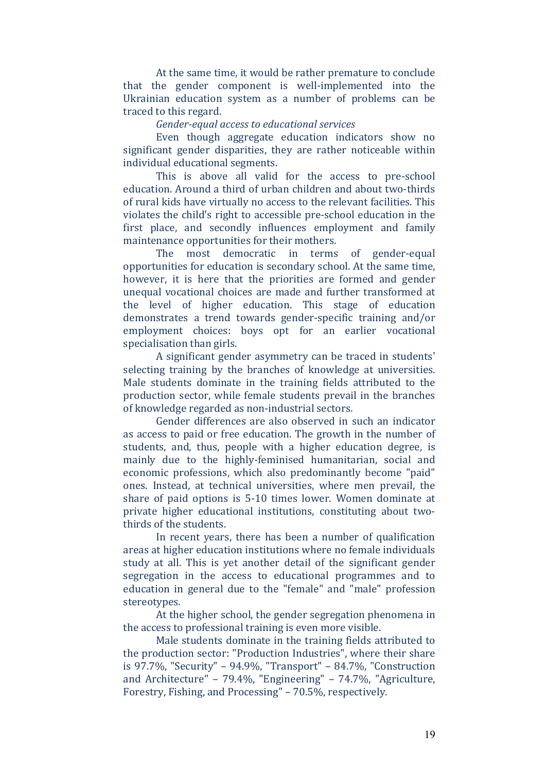At the same time, it would be rather premature to conclude that the gender component is well-implemented into the Ukrainian education system as a number of problems can be traced to this regard.

#### *Gender‐equal access to educational services*

Even though aggregate education indicators show no significant gender disparities, they are rather noticeable within individual educational segments.

This is above all valid for the access to pre-school education. Around a third of urban children and about two-thirds of rural kids have virtually no access to the relevant facilities. This violates the child's right to accessible pre-school education in the first place, and secondly influences employment and family maintenance opportunities for their mothers.

The most democratic in terms of gender-equal opportunities for education is secondary school. At the same time, however, it is here that the priorities are formed and gender unequal vocational choices are made and further transformed at the level of higher education. This stage of education demonstrates a trend towards gender-specific training and/or employment choices: boys opt for an earlier vocational specialisation than girls.

A significant gender asymmetry can be traced in students' selecting training by the branches of knowledge at universities. Male students dominate in the training fields attributed to the production sector, while female students prevail in the branches of knowledge regarded as non-industrial sectors.

Gender differences are also observed in such an indicator as access to paid or free education. The growth in the number of students, and, thus, people with a higher education degree, is mainly due to the highly-feminised humanitarian, social and economic professions, which also predominantly become "paid" ones. Instead, at technical universities, where men prevail, the share of paid options is  $5-10$  times lower. Women dominate at private higher educational institutions, constituting about twothirds of the students.

In recent vears, there has been a number of qualification areas at higher education institutions where no female individuals study at all. This is yet another detail of the significant gender segregation in the access to educational programmes and to education in general due to the "female" and "male" profession stereotypes. 

At the higher school, the gender segregation phenomena in the access to professional training is even more visible.

Male students dominate in the training fields attributed to the production sector: "Production Industries", where their share is  $97.7\%$ , "Security" –  $94.9\%$ , "Transport" –  $84.7\%$ , "Construction and Architecture" - 79.4%, "Engineering" - 74.7%, "Agriculture, Forestry, Fishing, and Processing" - 70.5%, respectively.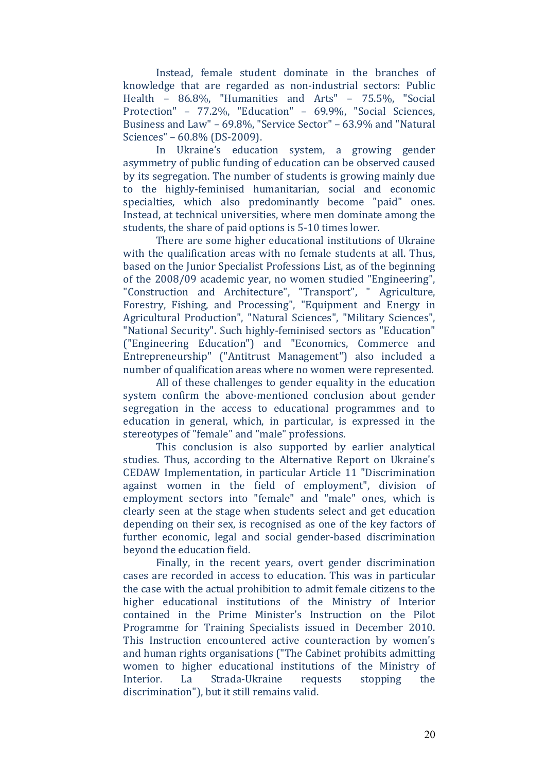Instead, female student dominate in the branches of knowledge that are regarded as non-industrial sectors: Public Health –  $86.8\%$ , "Humanities and Arts" –  $75.5\%$ , "Social Protection" - 77.2%, "Education" - 69.9%, "Social Sciences, Business and Law" - 69.8%, "Service Sector" - 63.9% and "Natural Sciences" – 60.8% (DS-2009).

In Ukraine's education system, a growing gender asymmetry of public funding of education can be observed caused by its segregation. The number of students is growing mainly due to the highly-feminised humanitarian, social and economic specialties, which also predominantly become "paid" ones. Instead, at technical universities, where men dominate among the students, the share of paid options is 5-10 times lower.

There are some higher educational institutions of Ukraine with the qualification areas with no female students at all. Thus, based on the Junior Specialist Professions List, as of the beginning of the 2008/09 academic vear, no women studied "Engineering". "Construction and Architecture", "Transport", " Agriculture, Forestry, Fishing, and Processing", "Equipment and Energy in Agricultural Production", "Natural Sciences", "Military Sciences", "National Security". Such highly-feminised sectors as "Education" ("Engineering Education") and "Economics, Commerce and Entrepreneurship" ("Antitrust Management") also included a number of qualification areas where no women were represented.

All of these challenges to gender equality in the education system confirm the above-mentioned conclusion about gender segregation in the access to educational programmes and to education in general, which, in particular, is expressed in the stereotypes of "female" and "male" professions.

This conclusion is also supported by earlier analytical studies. Thus, according to the Alternative Report on Ukraine's CEDAW Implementation, in particular Article 11 "Discrimination against women in the field of employment", division of employment sectors into "female" and "male" ones, which is clearly seen at the stage when students select and get education depending on their sex, is recognised as one of the key factors of further economic, legal and social gender-based discrimination beyond the education field.

Finally, in the recent years, overt gender discrimination cases are recorded in access to education. This was in particular the case with the actual prohibition to admit female citizens to the higher educational institutions of the Ministry of Interior contained in the Prime Minister's Instruction on the Pilot Programme for Training Specialists issued in December 2010. This Instruction encountered active counteraction by women's and human rights organisations ("The Cabinet prohibits admitting women to higher educational institutions of the Ministry of Interior. La Strada-Ukraine requests stopping the discrimination"), but it still remains valid.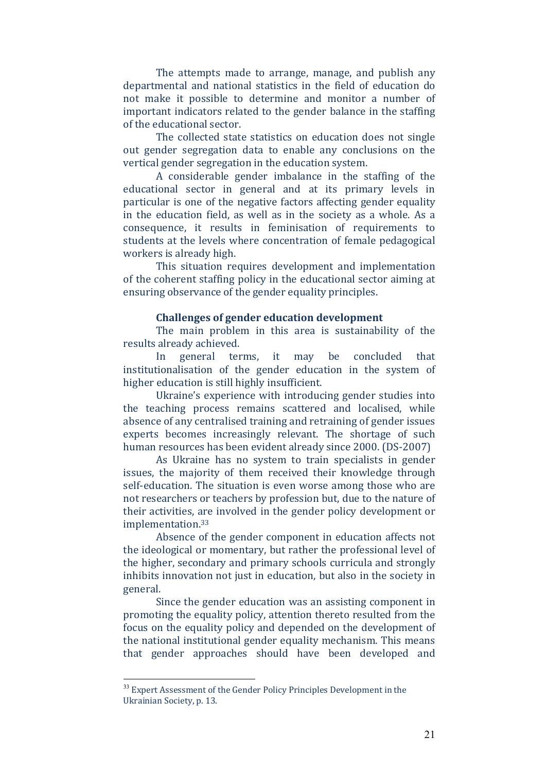The attempts made to arrange, manage, and publish any departmental and national statistics in the field of education do not make it possible to determine and monitor a number of important indicators related to the gender balance in the staffing of the educational sector.

The collected state statistics on education does not single out gender segregation data to enable any conclusions on the vertical gender segregation in the education system.

A considerable gender imbalance in the staffing of the educational sector in general and at its primary levels in particular is one of the negative factors affecting gender equality in the education field, as well as in the society as a whole. As a consequence, it results in feminisation of requirements to students at the levels where concentration of female pedagogical workers is already high.

This situation requires development and implementation of the coherent staffing policy in the educational sector aiming at ensuring observance of the gender equality principles.

#### **Challenges of gender education development**

The main problem in this area is sustainability of the results already achieved.

In general terms, it may be concluded that institutionalisation of the gender education in the system of higher education is still highly insufficient.

Ukraine's experience with introducing gender studies into the teaching process remains scattered and localised, while absence of any centralised training and retraining of gender issues experts becomes increasingly relevant. The shortage of such human resources has been evident already since 2000. (DS-2007)

As Ukraine has no system to train specialists in gender issues, the majority of them received their knowledge through self-education. The situation is even worse among those who are not researchers or teachers by profession but, due to the nature of their activities, are involved in the gender policy development or implementation.33 

Absence of the gender component in education affects not the ideological or momentary, but rather the professional level of the higher, secondary and primary schools curricula and strongly inhibits innovation not just in education, but also in the society in general. 

Since the gender education was an assisting component in promoting the equality policy, attention thereto resulted from the focus on the equality policy and depended on the development of the national institutional gender equality mechanism. This means that gender approaches should have been developed and

<u>.</u>

<sup>&</sup>lt;sup>33</sup> Expert Assessment of the Gender Policy Principles Development in the Ukrainian Society, p. 13.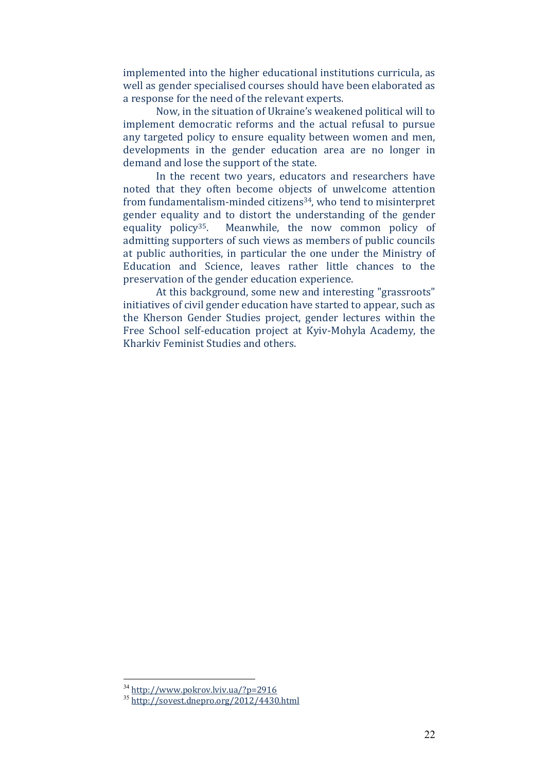implemented into the higher educational institutions curricula, as well as gender specialised courses should have been elaborated as a response for the need of the relevant experts.

Now, in the situation of Ukraine's weakened political will to implement democratic reforms and the actual refusal to pursue any targeted policy to ensure equality between women and men, developments in the gender education area are no longer in demand and lose the support of the state.

In the recent two years, educators and researchers have noted that they often become objects of unwelcome attention from fundamentalism-minded citizens<sup>34</sup>, who tend to misinterpret gender equality and to distort the understanding of the gender equality policy<sup>35</sup>. Meanwhile, the now common policy of admitting supporters of such views as members of public councils at public authorities, in particular the one under the Ministry of Education and Science, leaves rather little chances to the preservation of the gender education experience.

At this background, some new and interesting "grassroots" initiatives of civil gender education have started to appear, such as the Kherson Gender Studies project, gender lectures within the Free School self-education project at Kyiv-Mohyla Academy, the Kharkiv Feminist Studies and others.

<u>.</u>

<sup>34</sup> http://www.pokrov.lvіv.ua/?p=2916

<sup>35</sup> http://sovest.dnepro.org/2012/4430.html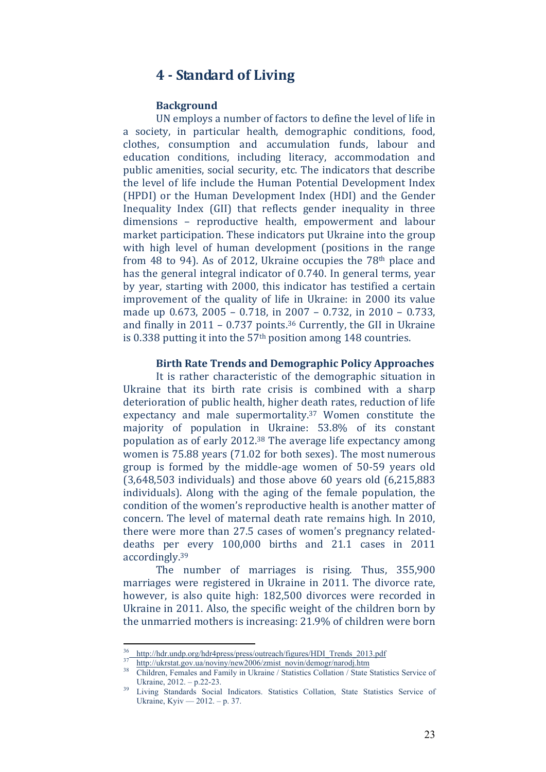## **4 ‐ Standard of Living**

#### **Background**

UN employs a number of factors to define the level of life in a society, in particular health, demographic conditions, food, clothes, consumption and accumulation funds, labour and education conditions, including literacy, accommodation and public amenities, social security, etc. The indicators that describe the level of life include the Human Potential Development Index (HPDI) or the Human Development Index (HDI) and the Gender Inequality Index (GII) that reflects gender inequality in three dimensions - reproductive health, empowerment and labour market participation. These indicators put Ukraine into the group with high level of human development (positions in the range from 48 to 94). As of 2012, Ukraine occupies the  $78<sup>th</sup>$  place and has the general integral indicator of 0.740. In general terms, year by vear, starting with 2000, this indicator has testified a certain improvement of the quality of life in Ukraine: in 2000 its value made up  $0.673$ ,  $2005 - 0.718$ , in  $2007 - 0.732$ , in  $2010 - 0.733$ , and finally in  $2011 - 0.737$  points.<sup>36</sup> Currently, the GII in Ukraine is  $0.338$  putting it into the  $57<sup>th</sup>$  position among 148 countries.

#### **Birth Rate Trends and Demographic Policy Approaches**

It is rather characteristic of the demographic situation in Ukraine that its birth rate crisis is combined with a sharp deterioration of public health, higher death rates, reduction of life expectancy and male supermortality. $37$  Women constitute the majority of population in Ukraine: 53.8% of its constant population as of early  $2012^{38}$  The average life expectancy among women is 75.88 years (71.02 for both sexes). The most numerous group is formed by the middle-age women of 50-59 years old  $(3.648,503$  individuals) and those above  $60$  years old  $(6.215,883)$ individuals). Along with the aging of the female population, the condition of the women's reproductive health is another matter of concern. The level of maternal death rate remains high. In 2010, there were more than 27.5 cases of women's pregnancy relateddeaths per every 100,000 births and 21.1 cases in 2011 accordingly.39 

The number of marriages is rising. Thus, 355,900 marriages were registered in Ukraine in 2011. The divorce rate, however, is also quite high: 182,500 divorces were recorded in Ukraine in 2011. Also, the specific weight of the children born by the unmarried mothers is increasing: 21.9% of children were born

<sup>&</sup>lt;sup>36</sup> http://hdr.undp.org/hdr4press/press/outreach/figures/HDI\_Trends\_2013.pdf

<sup>&</sup>lt;sup>37</sup> http://ukrstat.gov.ua/noviny/new2006/zmist\_novin/demogr/narodj.htm<br><sup>38</sup> Children, Females and Family in Ukraine / Statistics Collation / State Statistics Service of Ukraine, 2012. – p.22-23.<br>Living Standards Social Indicators. Statistics Collation, State Statistics Service of

Ukraine, Kyiv — 2012. – p. 37.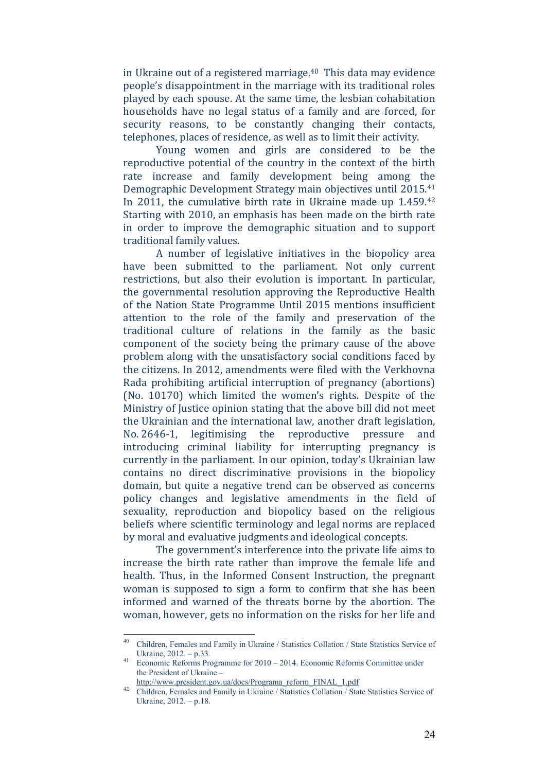in Ukraine out of a registered marriage. $40$  This data may evidence people's disappointment in the marriage with its traditional roles played by each spouse. At the same time, the lesbian cohabitation households have no legal status of a family and are forced, for security reasons, to be constantly changing their contacts, telephones, places of residence, as well as to limit their activity.

Young women and girls are considered to be the reproductive potential of the country in the context of the birth rate increase and family development being among the Demographic Development Strategy main objectives until 2015.<sup>41</sup> In 2011, the cumulative birth rate in Ukraine made up  $1.459^{42}$ Starting with 2010, an emphasis has been made on the birth rate in order to improve the demographic situation and to support traditional family values.

A number of legislative initiatives in the biopolicy area have been submitted to the parliament. Not only current restrictions, but also their evolution is important. In particular, the governmental resolution approving the Reproductive Health of the Nation State Programme Until 2015 mentions insufficient attention to the role of the family and preservation of the traditional culture of relations in the family as the basic component of the society being the primary cause of the above problem along with the unsatisfactory social conditions faced by the citizens. In 2012, amendments were filed with the Verkhovna Rada prohibiting artificial interruption of pregnancy (abortions) (No. 10170) which limited the women's rights. Despite of the Ministry of Justice opinion stating that the above bill did not meet the Ukrainian and the international law, another draft legislation, No. 2646-1, legitimising the reproductive pressure and introducing criminal liability for interrupting pregnancy is currently in the parliament. In our opinion, today's Ukrainian law contains no direct discriminative provisions in the biopolicy domain, but quite a negative trend can be observed as concerns policy changes and legislative amendments in the field of sexuality, reproduction and biopolicy based on the religious beliefs where scientific terminology and legal norms are replaced by moral and evaluative judgments and ideological concepts.

The government's interference into the private life aims to increase the birth rate rather than improve the female life and health. Thus, in the Informed Consent Instruction, the pregnant woman is supposed to sign a form to confirm that she has been informed and warned of the threats borne by the abortion. The woman, however, gets no information on the risks for her life and

 $40<sup>°</sup>$ 40 Children, Females and Family in Ukraine / Statistics Collation / State Statistics Service of

Ukraine, 2012. – p.33. 41 Economic Reforms Programme for 2010 – 2014. Economic Reforms Committee under the President of Ukraine –

http://www.president.gov.ua/docs/Programa\_reform\_FINAL\_1.pdf<br>
<sup>42</sup> Children, Females and Family in Ukraine / Statistics Collation / State Statistics Service of Ukraine, 2012. – p.18.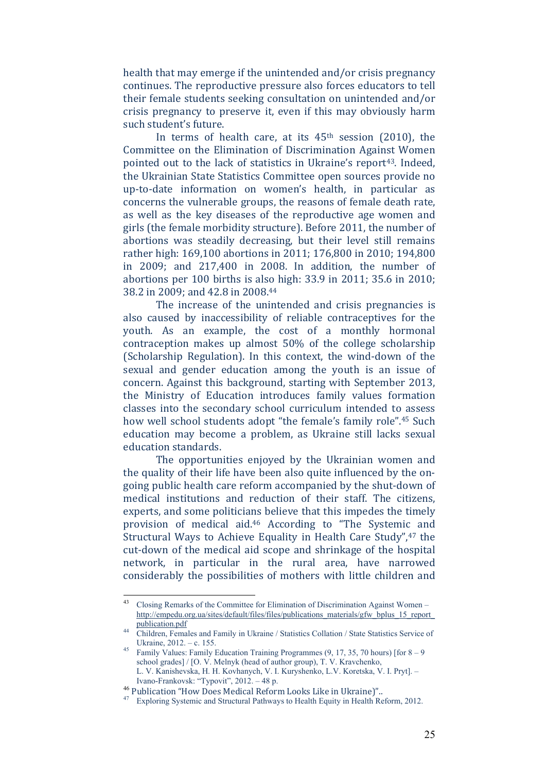health that may emerge if the unintended and/or crisis pregnancy continues. The reproductive pressure also forces educators to tell their female students seeking consultation on unintended and/or crisis pregnancy to preserve it, even if this may obviously harm such student's future.

In terms of health care, at its  $45<sup>th</sup>$  session (2010), the Committee on the Elimination of Discrimination Against Women pointed out to the lack of statistics in Ukraine's report<sup>43</sup>. Indeed, the Ukrainian State Statistics Committee open sources provide no up-to-date information on women's health, in particular as concerns the vulnerable groups, the reasons of female death rate, as well as the key diseases of the reproductive age women and girls (the female morbidity structure). Before 2011, the number of abortions was steadily decreasing, but their level still remains rather high: 169,100 abortions in 2011; 176,800 in 2010; 194,800 in  $2009$ ; and  $217,400$  in  $2008$ . In addition, the number of abortions per  $100$  births is also high:  $33.9$  in  $2011$ ;  $35.6$  in  $2010$ ; 38.2 in 2009; and 42.8 in 2008.44

The increase of the unintended and crisis pregnancies is also caused by inaccessibility of reliable contraceptives for the youth. As an example, the cost of a monthly hormonal contraception makes up almost  $50\%$  of the college scholarship (Scholarship Regulation). In this context, the wind-down of the sexual and gender education among the youth is an issue of concern. Against this background, starting with September 2013, the Ministry of Education introduces family values formation classes into the secondary school curriculum intended to assess how well school students adopt "the female's family role".<sup>45</sup> Such education may become a problem, as Ukraine still lacks sexual education standards.

The opportunities enjoyed by the Ukrainian women and the quality of their life have been also quite influenced by the ongoing public health care reform accompanied by the shut-down of medical institutions and reduction of their staff. The citizens, experts, and some politicians believe that this impedes the timely provision of medical aid.<sup>46</sup> According to "The Systemic and Structural Ways to Achieve Equality in Health Care Study", 47 the cut-down of the medical aid scope and shrinkage of the hospital network, in particular in the rural area, have narrowed considerably the possibilities of mothers with little children and

 $43$ 43 Closing Remarks of the Committee for Elimination of Discrimination Against Women – http://empedu.org.ua/sites/default/files/files/publications\_materials/gfw\_bplus\_15\_report\_

<sup>44</sup> Children, Females and Family in Ukraine / Statistics Collation / State Statistics Service of

Ukraine, 2012. – c. 155.<br><sup>45</sup> Family Values: Family Education Training Programmes (9, 17, 35, 70 hours) [for  $8-9$ school grades] / [О. V. Melnyk (head of author group), Т. V. Kravchenko, L. V. Kanishevska, H. H. Kovhanych, V. І. Kuryshenko, L.V. Koretska, V. І. Pryt]. – Ivano-Frankovsk: "Typovit", 2012. – 48 p.<br><sup>46</sup> Publication "How Does Medical Reform Looks Like in Ukraine)"..

<sup>&</sup>lt;sup>47</sup> Exploring Systemic and Structural Pathways to Health Equity in Health Reform, 2012.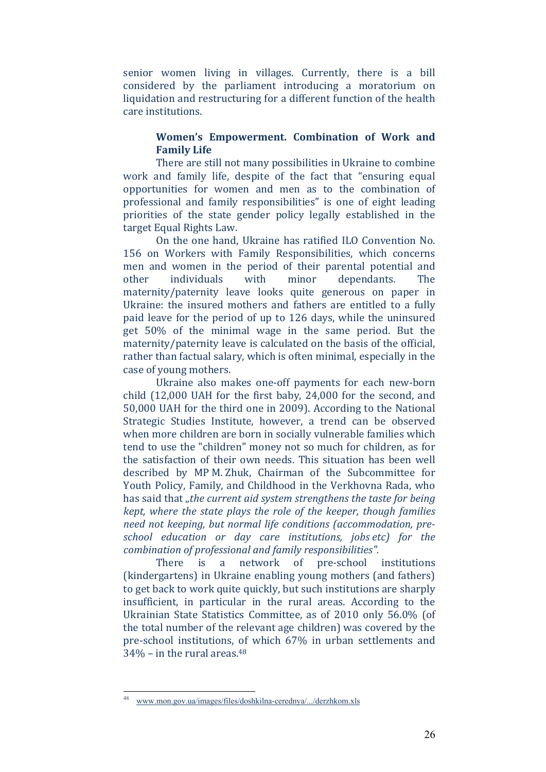senior women living in villages. Currently, there is a bill considered by the parliament introducing a moratorium on liquidation and restructuring for a different function of the health care institutions.

#### **Women's Empowerment. Combination of Work and Family Life**

There are still not many possibilities in Ukraine to combine work and family life, despite of the fact that "ensuring equal opportunities for women and men as to the combination of professional and family responsibilities" is one of eight leading priorities of the state gender policy legally established in the target Equal Rights Law.

On the one hand, Ukraine has ratified ILO Convention No. 156 on Workers with Family Responsibilities, which concerns men and women in the period of their parental potential and other individuals with minor dependants. The maternity/paternity leave looks quite generous on paper in Ukraine: the insured mothers and fathers are entitled to a fully paid leave for the period of up to 126 days, while the uninsured get 50% of the minimal wage in the same period. But the maternity/paternity leave is calculated on the basis of the official, rather than factual salary, which is often minimal, especially in the case of young mothers.

Ukraine also makes one-off payments for each new-born child  $(12,000 \text{ UAH}$  for the first baby,  $24,000$  for the second, and 50,000 UAH for the third one in 2009). According to the National Strategic Studies Institute, however, a trend can be observed when more children are born in socially vulnerable families which tend to use the "children" money not so much for children, as for the satisfaction of their own needs. This situation has been well described by MP M. Zhuk, Chairman of the Subcommittee for Youth Policy, Family, and Childhood in the Verkhovna Rada, who has said that "*the current aid system strengthens the taste for being kept, where the state plays the role of the keeper, though families need not keeping, but normal life conditions (accommodation, pre‐ school education or day care institutions, jobs etc) for the combination of professional and family responsibilities".* 

There is a network of pre-school institutions (kindergartens) in Ukraine enabling young mothers (and fathers) to get back to work quite quickly, but such institutions are sharply insufficient, in particular in the rural areas. According to the Ukrainian State Statistics Committee, as of 2010 only 56.0% (of the total number of the relevant age children) was covered by the pre-school institutions, of which 67% in urban settlements and  $34\%$  – in the rural areas.<sup>48</sup>

<sup>48</sup> www.mon.gov.ua/images/files/doshkilna-cerednya/.../derzhkom.xls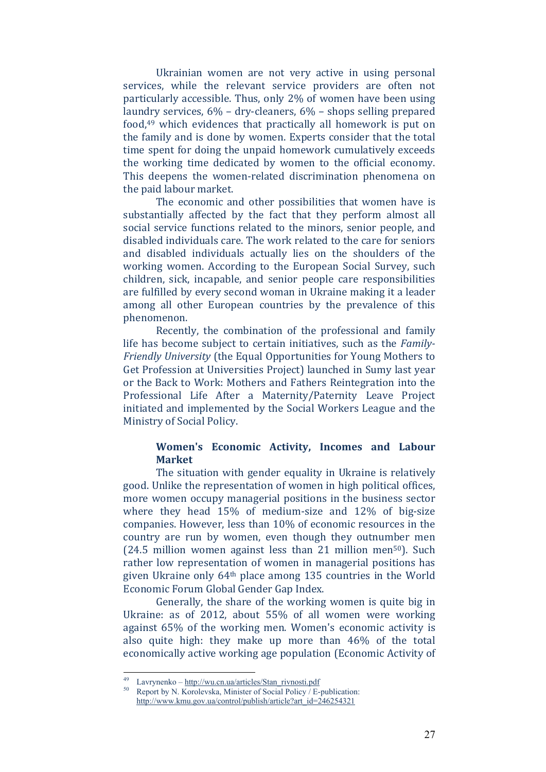Ukrainian women are not very active in using personal services, while the relevant service providers are often not particularly accessible. Thus, only 2% of women have been using laundry services,  $6\%$  – dry-cleaners,  $6\%$  – shops selling prepared food, $49$  which evidences that practically all homework is put on the family and is done by women. Experts consider that the total time spent for doing the unpaid homework cumulatively exceeds the working time dedicated by women to the official economy. This deepens the women-related discrimination phenomena on the paid labour market.

The economic and other possibilities that women have is substantially affected by the fact that they perform almost all social service functions related to the minors, senior people, and disabled individuals care. The work related to the care for seniors and disabled individuals actually lies on the shoulders of the working women. According to the European Social Survey, such children, sick, incapable, and senior people care responsibilities are fulfilled by every second woman in Ukraine making it a leader among all other European countries by the prevalence of this phenomenon. 

Recently, the combination of the professional and family life has become subject to certain initiatives, such as the *Family Friendly University* (the Equal Opportunities for Young Mothers to Get Profession at Universities Project) launched in Sumy last year or the Back to Work: Mothers and Fathers Reintegration into the Professional Life After a Maternity/Paternity Leave Project initiated and implemented by the Social Workers League and the Ministry of Social Policy.

#### **Women's Economic Activity, Incomes and Labour Market**

The situation with gender equality in Ukraine is relatively good. Unlike the representation of women in high political offices, more women occupy managerial positions in the business sector where they head  $15\%$  of medium-size and  $12\%$  of big-size companies. However, less than 10% of economic resources in the country are run by women, even though they outnumber men  $(24.5 \text{ million women against less than } 21 \text{ million men}^{50})$ . Such rather low representation of women in managerial positions has given Ukraine only  $64<sup>th</sup>$  place among 135 countries in the World Economic Forum Global Gender Gap Index.

Generally, the share of the working women is quite big in Ukraine: as of 2012, about  $55\%$  of all women were working against  $65\%$  of the working men. Women's economic activity is also quite high: they make up more than  $46\%$  of the total economically active working age population (Economic Activity of

<sup>&</sup>lt;sup>49</sup> Lavrynenko – <u>http://wu.cn.ua/articles/Stan\_rivnosti.pdf</u> Report by N. Korolevska, Minister of Social Policy / E-publication: http://www.kmu.gov.ua/control/publish/article?art\_id=246254321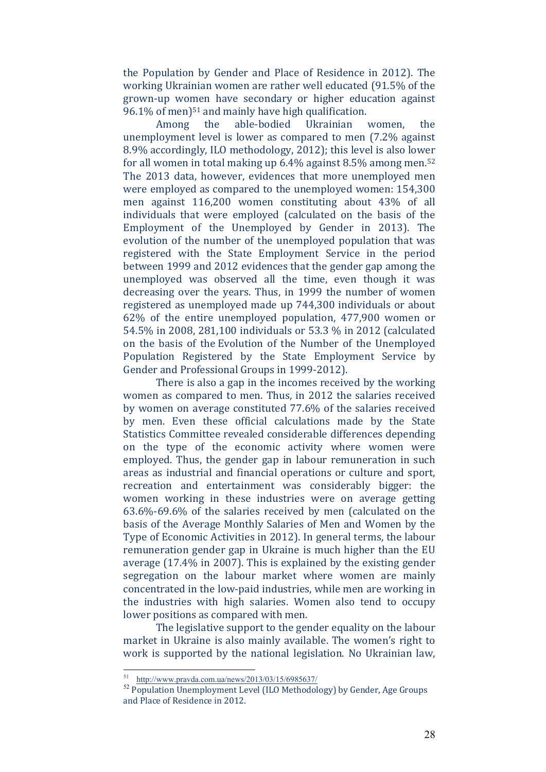the Population by Gender and Place of Residence in 2012). The working Ukrainian women are rather well educated (91.5% of the grown-up women have secondary or higher education against  $96.1\%$  of men)<sup>51</sup> and mainly have high qualification.

Among the able-bodied Ukrainian women, the unemployment level is lower as compared to men  $(7.2\%$  against 8.9% accordingly, ILO methodology, 2012); this level is also lower for all women in total making up  $6.4\%$  against  $8.5\%$  among men.<sup>52</sup> The 2013 data, however, evidences that more unemployed men were employed as compared to the unemployed women: 154,300 men against 116,200 women constituting about 43% of all individuals that were employed (calculated on the basis of the Employment of the Unemployed by Gender in 2013). The evolution of the number of the unemployed population that was registered with the State Employment Service in the period between 1999 and 2012 evidences that the gender gap among the unemployed was observed all the time, even though it was decreasing over the years. Thus, in 1999 the number of women registered as unemployed made up 744,300 individuals or about  $62\%$  of the entire unemployed population,  $477,900$  women or 54.5% in 2008, 281,100 individuals or 53.3 % in 2012 (calculated on the basis of the Evolution of the Number of the Unemployed Population Registered by the State Employment Service by Gender and Professional Groups in 1999-2012).

There is also a gap in the incomes received by the working women as compared to men. Thus, in 2012 the salaries received by women on average constituted 77.6% of the salaries received by men. Even these official calculations made by the State Statistics Committee revealed considerable differences depending on the type of the economic activity where women were employed. Thus, the gender gap in labour remuneration in such areas as industrial and financial operations or culture and sport, recreation and entertainment was considerably bigger: the women working in these industries were on average getting  $63.6\%$ -69.6% of the salaries received by men (calculated on the basis of the Average Monthly Salaries of Men and Women by the Type of Economic Activities in 2012). In general terms, the labour remuneration gender gap in Ukraine is much higher than the EU average  $(17.4\%$  in 2007). This is explained by the existing gender segregation on the labour market where women are mainly concentrated in the low-paid industries, while men are working in the industries with high salaries. Women also tend to occupy lower positions as compared with men.

The legislative support to the gender equality on the labour market in Ukraine is also mainly available. The women's right to work is supported by the national legislation. No Ukrainian law,

http://www.pravda.com.ua/news/2013/03/15/6985637/

<sup>&</sup>lt;sup>52</sup> Population Unemployment Level (ILO Methodology) by Gender, Age Groups and Place of Residence in 2012.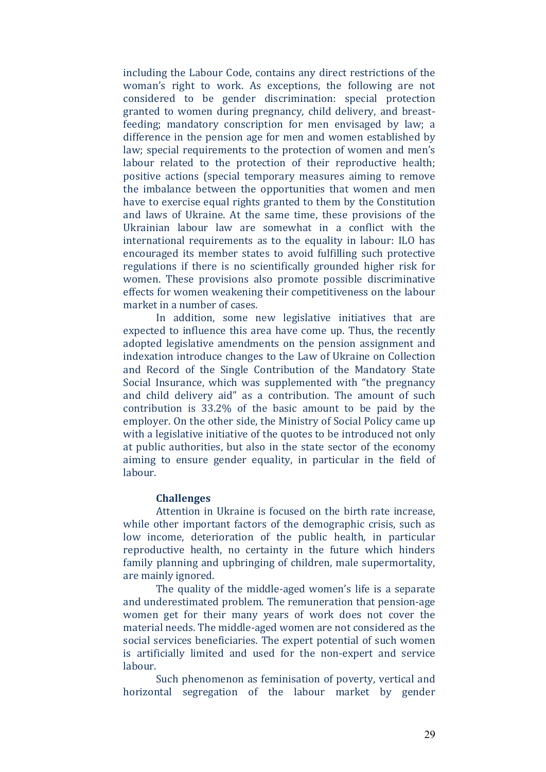including the Labour Code, contains any direct restrictions of the woman's right to work. As exceptions, the following are not considered to be gender discrimination: special protection granted to women during pregnancy, child delivery, and breastfeeding; mandatory conscription for men envisaged by law; a difference in the pension age for men and women established by law; special requirements to the protection of women and men's labour related to the protection of their reproductive health; positive actions (special temporary measures aiming to remove the imbalance between the opportunities that women and men have to exercise equal rights granted to them by the Constitution and laws of Ukraine. At the same time, these provisions of the Ukrainian labour law are somewhat in a conflict with the international requirements as to the equality in labour: ILO has encouraged its member states to avoid fulfilling such protective regulations if there is no scientifically grounded higher risk for women. These provisions also promote possible discriminative effects for women weakening their competitiveness on the labour market in a number of cases.

In addition, some new legislative initiatives that are expected to influence this area have come up. Thus, the recently adopted legislative amendments on the pension assignment and indexation introduce changes to the Law of Ukraine on Collection and Record of the Single Contribution of the Mandatory State Social Insurance, which was supplemented with "the pregnancy and child delivery aid" as a contribution. The amount of such contribution is  $33.2\%$  of the basic amount to be paid by the employer. On the other side, the Ministry of Social Policy came up with a legislative initiative of the quotes to be introduced not only at public authorities, but also in the state sector of the economy aiming to ensure gender equality, in particular in the field of labour. 

#### **Challenges**

Attention in Ukraine is focused on the birth rate increase. while other important factors of the demographic crisis, such as low income, deterioration of the public health, in particular reproductive health, no certainty in the future which hinders family planning and upbringing of children, male supermortality, are mainly ignored.

The quality of the middle-aged women's life is a separate and underestimated problem. The remuneration that pension-age women get for their many years of work does not cover the material needs. The middle-aged women are not considered as the social services beneficiaries. The expert potential of such women is artificially limited and used for the non-expert and service labour. 

Such phenomenon as feminisation of poverty, vertical and horizontal segregation of the labour market by gender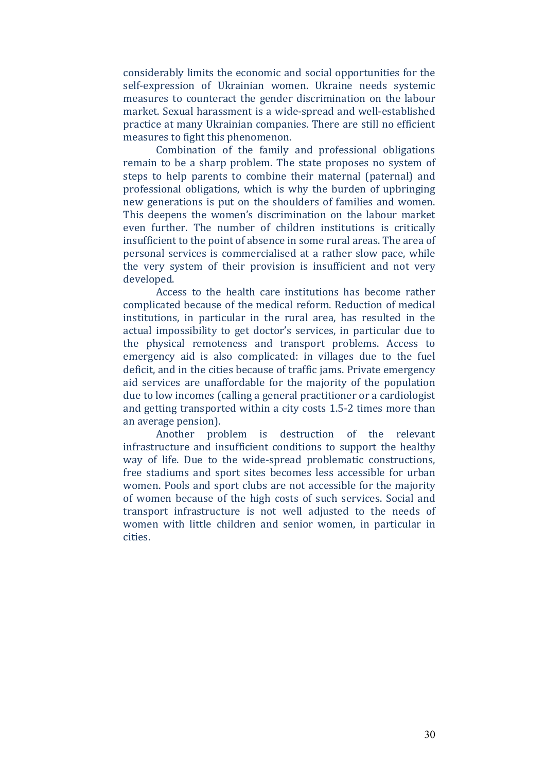considerably limits the economic and social opportunities for the self-expression of Ukrainian women. Ukraine needs systemic measures to counteract the gender discrimination on the labour market. Sexual harassment is a wide-spread and well-established practice at many Ukrainian companies. There are still no efficient measures to fight this phenomenon.

Combination of the family and professional obligations remain to be a sharp problem. The state proposes no system of steps to help parents to combine their maternal (paternal) and professional obligations, which is why the burden of upbringing new generations is put on the shoulders of families and women. This deepens the women's discrimination on the labour market even further. The number of children institutions is critically insufficient to the point of absence in some rural areas. The area of personal services is commercialised at a rather slow pace, while the very system of their provision is insufficient and not very developed. 

Access to the health care institutions has become rather complicated because of the medical reform. Reduction of medical institutions, in particular in the rural area, has resulted in the actual impossibility to get doctor's services, in particular due to the physical remoteness and transport problems. Access to emergency aid is also complicated: in villages due to the fuel deficit, and in the cities because of traffic jams. Private emergency aid services are unaffordable for the majority of the population due to low incomes (calling a general practitioner or a cardiologist and getting transported within a city costs  $1.5$ -2 times more than an average pension).

Another problem is destruction of the relevant infrastructure and insufficient conditions to support the healthy way of life. Due to the wide-spread problematic constructions, free stadiums and sport sites becomes less accessible for urban women. Pools and sport clubs are not accessible for the majority of women because of the high costs of such services. Social and transport infrastructure is not well adjusted to the needs of women with little children and senior women, in particular in cities.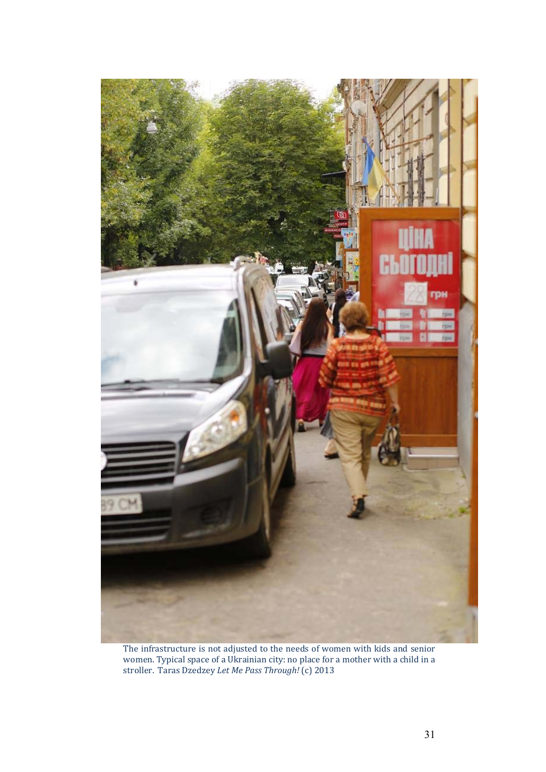

The infrastructure is not adjusted to the needs of women with kids and senior women. Typical space of a Ukrainian city: no place for a mother with a child in a stroller. Taras Dzedzey *Let Me Pass Through!* (с) 2013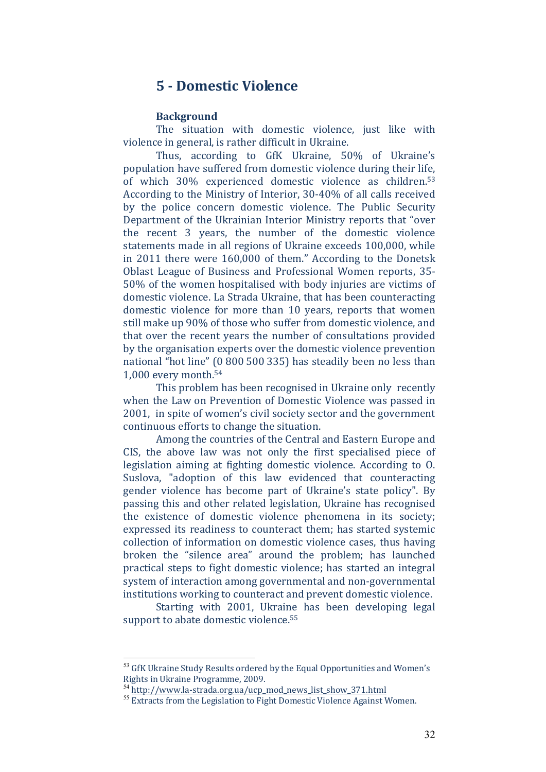## **5 ‐ Domestic Violence**

#### **Background**

The situation with domestic violence, just like with violence in general, is rather difficult in Ukraine.

Thus, according to GfK Ukraine, 50% of Ukraine's population have suffered from domestic violence during their life, of which 30% experienced domestic violence as children.<sup>53</sup> According to the Ministry of Interior, 30-40% of all calls received by the police concern domestic violence. The Public Security Department of the Ukrainian Interior Ministry reports that "over" the recent  $3$  years, the number of the domestic violence statements made in all regions of Ukraine exceeds 100,000, while in  $2011$  there were  $160,000$  of them." According to the Donetsk Oblast League of Business and Professional Women reports, 35-50% of the women hospitalised with body injuries are victims of domestic violence. La Strada Ukraine, that has been counteracting domestic violence for more than 10 years, reports that women still make up 90% of those who suffer from domestic violence, and that over the recent years the number of consultations provided by the organisation experts over the domestic violence prevention national "hot line" (0 800 500 335) has steadily been no less than 1,000 every month. $54$ 

This problem has been recognised in Ukraine only recently when the Law on Prevention of Domestic Violence was passed in 2001, in spite of women's civil society sector and the government continuous efforts to change the situation.

Among the countries of the Central and Eastern Europe and CIS, the above law was not only the first specialised piece of legislation aiming at fighting domestic violence. According to 0. Suslova, "adoption of this law evidenced that counteracting gender violence has become part of Ukraine's state policy". By passing this and other related legislation, Ukraine has recognised the existence of domestic violence phenomena in its society; expressed its readiness to counteract them; has started systemic collection of information on domestic violence cases, thus having broken the "silence area" around the problem; has launched practical steps to fight domestic violence; has started an integral system of interaction among governmental and non-governmental institutions working to counteract and prevent domestic violence.

Starting with 2001, Ukraine has been developing legal support to abate domestic violence.<sup>55</sup>

<sup>&</sup>lt;sup>53</sup> GfK Ukraine Study Results ordered by the Equal Opportunities and Women's Rights in Ukraine Programme, 2009.

<sup>&</sup>lt;sup>54</sup> http://www.la-strada.org.ua/ucp\_mod\_news\_list\_show\_371.html

<sup>&</sup>lt;sup>55</sup> Extracts from the Legislation to Fight Domestic Violence Against Women.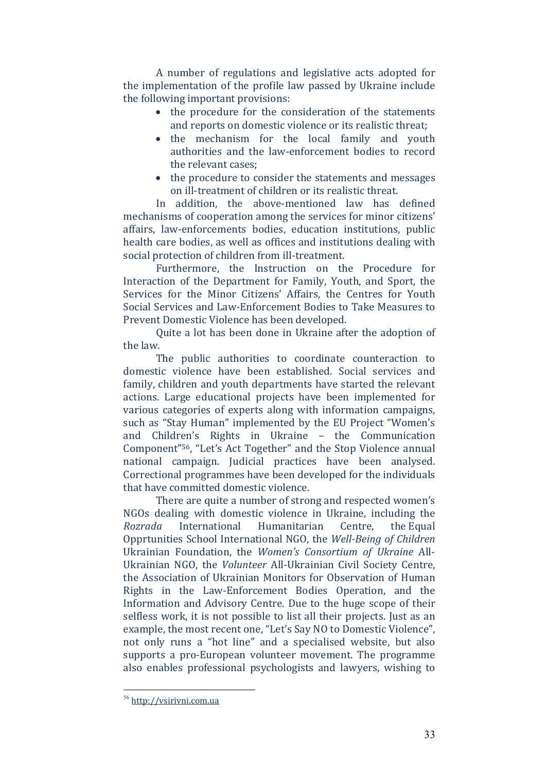A number of regulations and legislative acts adopted for the implementation of the profile law passed by Ukraine include the following important provisions:

- the procedure for the consideration of the statements and reports on domestic violence or its realistic threat;
- the mechanism for the local family and youth authorities and the law-enforcement bodies to record the relevant cases:
- the procedure to consider the statements and messages on ill-treatment of children or its realistic threat.

In addition, the above-mentioned law has defined mechanisms of cooperation among the services for minor citizens' affairs, law-enforcements bodies, education institutions, public health care bodies, as well as offices and institutions dealing with social protection of children from ill-treatment.

Furthermore, the Instruction on the Procedure for Interaction of the Department for Family, Youth, and Sport, the Services for the Minor Citizens' Affairs, the Centres for Youth Social Services and Law-Enforcement Bodies to Take Measures to Prevent Domestic Violence has been developed.

Quite a lot has been done in Ukraine after the adoption of the law.

The public authorities to coordinate counteraction to domestic violence have been established. Social services and family, children and youth departments have started the relevant actions. Large educational projects have been implemented for various categories of experts along with information campaigns, such as "Stay Human" implemented by the EU Project "Women's and Children's Rights in Ukraine – the Communication Component<sup>"56</sup>, "Let's Act Together" and the Stop Violence annual national campaign. Judicial practices have been analysed. Correctional programmes have been developed for the individuals that have committed domestic violence.

There are quite a number of strong and respected women's NGOs dealing with domestic violence in Ukraine, including the *Rozrada* International Humanitarian Centre, the Equal Opprtunities School International NGO, the *Well‐Being of Children* Ukrainian Foundation, the *Women's Consortium of Ukraine* All‐ Ukrainian NGO, the *Volunteer* All-Ukrainian Civil Society Centre, the Association of Ukrainian Monitors for Observation of Human Rights in the Law-Enforcement Bodies Operation, and the Information and Advisory Centre. Due to the huge scope of their selfless work, it is not possible to list all their projects. Just as an example, the most recent one, "Let's Say NO to Domestic Violence", not only runs a "hot line" and a specialised website, but also supports a pro-European volunteer movement. The programme also enables professional psychologists and lawyers, wishing to

<u>.</u>

<sup>56</sup> http://vsirivni.com.ua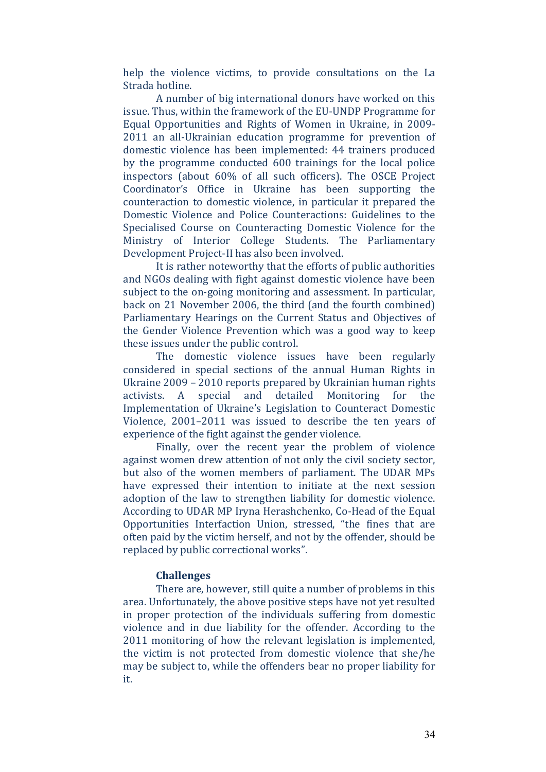help the violence victims, to provide consultations on the La Strada hotline.

A number of big international donors have worked on this issue. Thus, within the framework of the EU-UNDP Programme for Equal Opportunities and Rights of Women in Ukraine, in 2009-2011 an all-Ukrainian education programme for prevention of domestic violence has been implemented: 44 trainers produced by the programme conducted 600 trainings for the local police inspectors (about 60% of all such officers). The OSCE Project Coordinator's Office in Ukraine has been supporting the counteraction to domestic violence, in particular it prepared the Domestic Violence and Police Counteractions: Guidelines to the Specialised Course on Counteracting Domestic Violence for the Ministry of Interior College Students. The Parliamentary Development Project-II has also been involved.

It is rather noteworthy that the efforts of public authorities and NGOs dealing with fight against domestic violence have been subject to the on-going monitoring and assessment. In particular, back on 21 November 2006, the third (and the fourth combined) Parliamentary Hearings on the Current Status and Objectives of the Gender Violence Prevention which was a good way to keep these issues under the public control.

The domestic violence issues have been regularly considered in special sections of the annual Human Rights in Ukraine  $2009 - 2010$  reports prepared by Ukrainian human rights activists. A special and detailed Monitoring for the Implementation of Ukraine's Legislation to Counteract Domestic Violence, 2001–2011 was issued to describe the ten years of experience of the fight against the gender violence.

Finally, over the recent year the problem of violence against women drew attention of not only the civil society sector, but also of the women members of parliament. The UDAR MPs have expressed their intention to initiate at the next session adoption of the law to strengthen liability for domestic violence. According to UDAR MP Iryna Herashchenko, Co-Head of the Equal Opportunities Interfaction Union, stressed, "the fines that are often paid by the victim herself, and not by the offender, should be replaced by public correctional works".

#### **Challenges**

There are, however, still quite a number of problems in this area. Unfortunately, the above positive steps have not yet resulted in proper protection of the individuals suffering from domestic violence and in due liability for the offender. According to the 2011 monitoring of how the relevant legislation is implemented, the victim is not protected from domestic violence that she/he may be subject to, while the offenders bear no proper liability for it.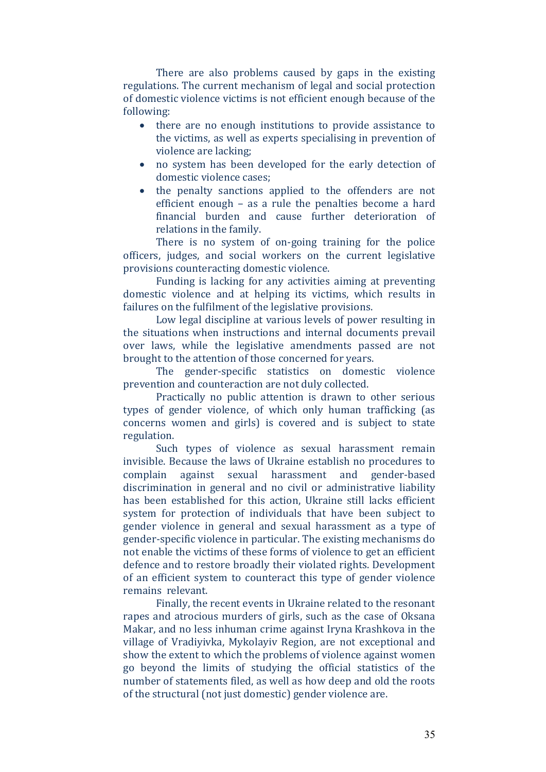There are also problems caused by gaps in the existing regulations. The current mechanism of legal and social protection of domestic violence victims is not efficient enough because of the following: 

- there are no enough institutions to provide assistance to the victims, as well as experts specialising in prevention of violence are lacking;
- no system has been developed for the early detection of domestic violence cases:
- the penalty sanctions applied to the offenders are not efficient enough  $-$  as a rule the penalties become a hard financial burden and cause further deterioration of relations in the family.

There is no system of on-going training for the police officers, judges, and social workers on the current legislative provisions counteracting domestic violence.

Funding is lacking for any activities aiming at preventing domestic violence and at helping its victims, which results in failures on the fulfilment of the legislative provisions.

Low legal discipline at various levels of power resulting in the situations when instructions and internal documents prevail over laws, while the legislative amendments passed are not brought to the attention of those concerned for years.

The gender-specific statistics on domestic violence prevention and counteraction are not duly collected.

Practically no public attention is drawn to other serious types of gender violence, of which only human trafficking (as concerns women and girls) is covered and is subject to state regulation. 

Such types of violence as sexual harassment remain invisible. Because the laws of Ukraine establish no procedures to complain against sexual harassment and gender-based discrimination in general and no civil or administrative liability has been established for this action, Ukraine still lacks efficient system for protection of individuals that have been subject to gender violence in general and sexual harassment as a type of gender-specific violence in particular. The existing mechanisms do not enable the victims of these forms of violence to get an efficient defence and to restore broadly their violated rights. Development of an efficient system to counteract this type of gender violence remains relevant.

Finally, the recent events in Ukraine related to the resonant rapes and atrocious murders of girls, such as the case of Oksana Makar, and no less inhuman crime against Iryna Krashkova in the village of Vradiyivka, Mykolayiv Region, are not exceptional and show the extent to which the problems of violence against women go beyond the limits of studying the official statistics of the number of statements filed, as well as how deep and old the roots of the structural (not just domestic) gender violence are.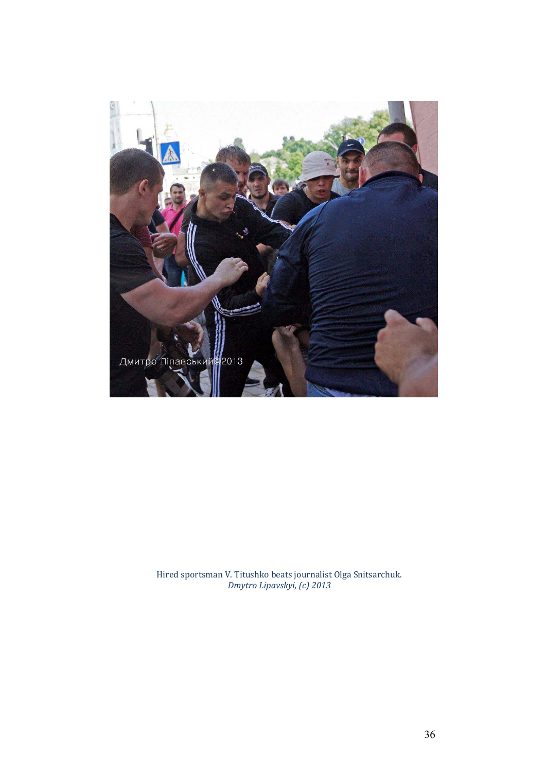

Hired sportsman V. Titushko beats journalist Olga Snitsarchuk. *Dmytro Lipavskyi, (с) 2013*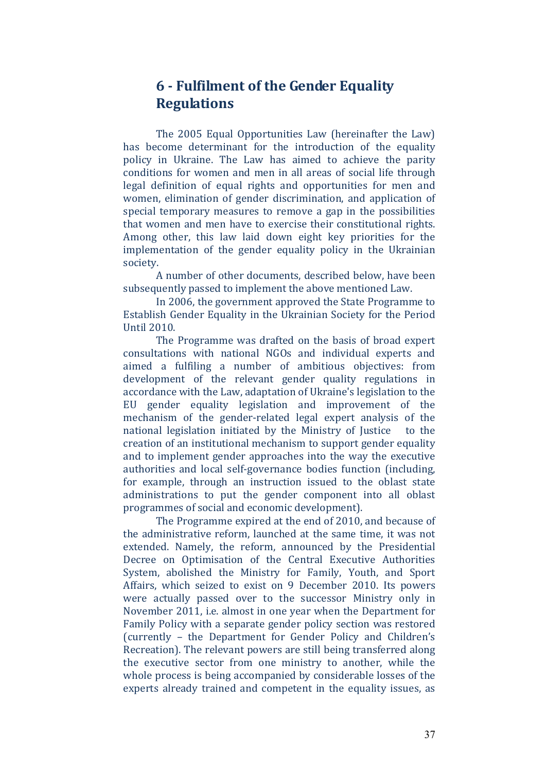## **6 ‐ Fulfilment of the Gender Equality Regulations**

The 2005 Equal Opportunities Law (hereinafter the Law) has become determinant for the introduction of the equality policy in Ukraine. The Law has aimed to achieve the parity conditions for women and men in all areas of social life through legal definition of equal rights and opportunities for men and women, elimination of gender discrimination, and application of special temporary measures to remove a gap in the possibilities that women and men have to exercise their constitutional rights. Among other, this law laid down eight key priorities for the implementation of the gender equality policy in the Ukrainian society. 

A number of other documents, described below, have been subsequently passed to implement the above mentioned Law.

In 2006, the government approved the State Programme to Establish Gender Equality in the Ukrainian Society for the Period Until 2010. 

The Programme was drafted on the basis of broad expert consultations with national NGOs and individual experts and aimed a fulfiling a number of ambitious objectives: from development of the relevant gender quality regulations in accordance with the Law, adaptation of Ukraine's legislation to the EU gender equality legislation and improvement of the mechanism of the gender-related legal expert analysis of the national legislation initiated by the Ministry of Justice to the creation of an institutional mechanism to support gender equality and to implement gender approaches into the way the executive authorities and local self-governance bodies function (including, for example, through an instruction issued to the oblast state administrations to put the gender component into all oblast programmes of social and economic development).

The Programme expired at the end of 2010, and because of the administrative reform, launched at the same time, it was not extended. Namely, the reform, announced by the Presidential Decree on Optimisation of the Central Executive Authorities System, abolished the Ministry for Family, Youth, and Sport Affairs, which seized to exist on 9 December 2010. Its powers were actually passed over to the successor Ministry only in November 2011, i.e. almost in one year when the Department for Family Policy with a separate gender policy section was restored (currently - the Department for Gender Policy and Children's Recreation). The relevant powers are still being transferred along the executive sector from one ministry to another, while the whole process is being accompanied by considerable losses of the experts already trained and competent in the equality issues, as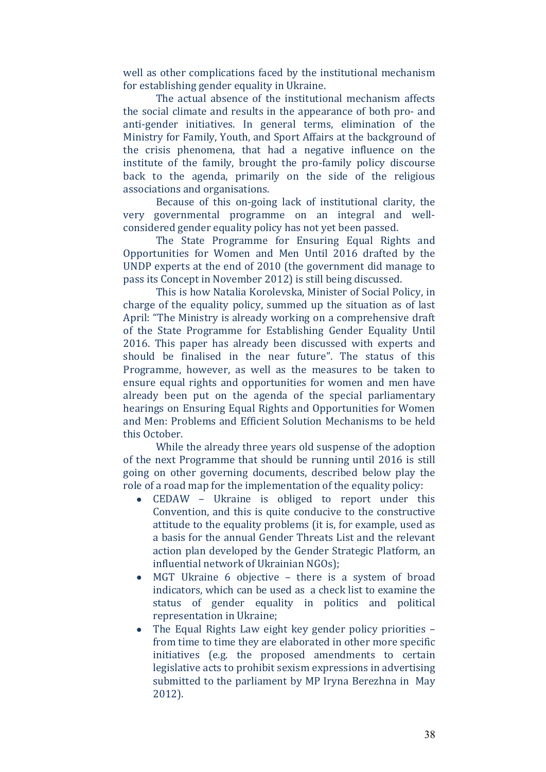well as other complications faced by the institutional mechanism for establishing gender equality in Ukraine.

The actual absence of the institutional mechanism affects the social climate and results in the appearance of both pro- and anti-gender initiatives. In general terms, elimination of the Ministry for Family, Youth, and Sport Affairs at the background of the crisis phenomena, that had a negative influence on the institute of the family, brought the pro-family policy discourse back to the agenda, primarily on the side of the religious associations and organisations.

Because of this on-going lack of institutional clarity, the very governmental programme on an integral and wellconsidered gender equality policy has not yet been passed.

The State Programme for Ensuring Equal Rights and Opportunities for Women and Men Until 2016 drafted by the UNDP experts at the end of 2010 (the government did manage to pass its Concept in November 2012) is still being discussed.

This is how Natalia Korolevska, Minister of Social Policy, in charge of the equality policy, summed up the situation as of last April: "The Ministry is already working on a comprehensive draft of the State Programme for Establishing Gender Equality Until 2016. This paper has already been discussed with experts and should be finalised in the near future". The status of this Programme, however, as well as the measures to be taken to ensure equal rights and opportunities for women and men have already been put on the agenda of the special parliamentary hearings on Ensuring Equal Rights and Opportunities for Women and Men: Problems and Efficient Solution Mechanisms to be held this October.

While the already three years old suspense of the adoption of the next Programme that should be running until 2016 is still going on other governing documents, described below play the role of a road map for the implementation of the equality policy:

- CEDAW Ukraine is obliged to report under this Convention, and this is quite conducive to the constructive attitude to the equality problems (it is, for example, used as a basis for the annual Gender Threats List and the relevant action plan developed by the Gender Strategic Platform, an influential network of Ukrainian NGOs);
- $\bullet$  MGT Ukraine 6 objective there is a system of broad indicators, which can be used as a check list to examine the status of gender equality in politics and political representation in Ukraine;
- $\bullet$  The Equal Rights Law eight key gender policy priorities  $$ from time to time they are elaborated in other more specific initiatives (e.g. the proposed amendments to certain legislative acts to prohibit sexism expressions in advertising submitted to the parliament by MP Iryna Berezhna in May 2012).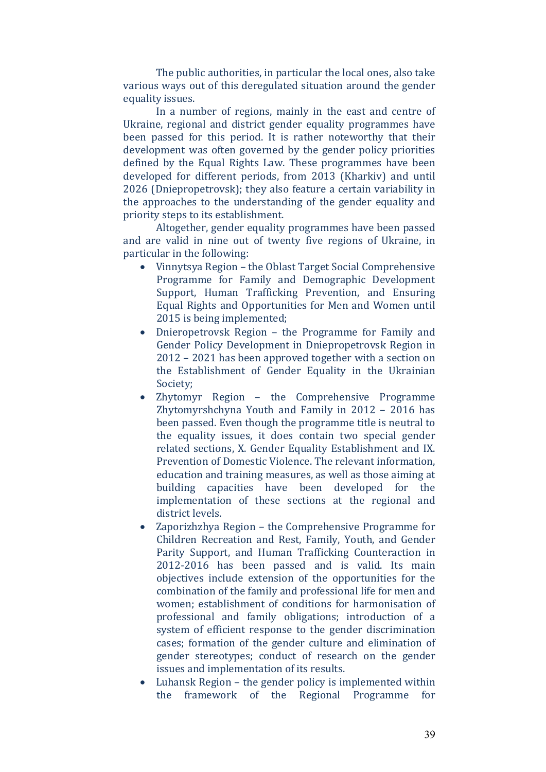The public authorities, in particular the local ones, also take various ways out of this deregulated situation around the gender equality issues.

In a number of regions, mainly in the east and centre of Ukraine, regional and district gender equality programmes have been passed for this period. It is rather noteworthy that their development was often governed by the gender policy priorities defined by the Equal Rights Law. These programmes have been developed for different periods, from 2013 (Kharkiv) and until  $2026$  (Dniepropetrovsk); they also feature a certain variability in the approaches to the understanding of the gender equality and priority steps to its establishment.

Altogether, gender equality programmes have been passed and are valid in nine out of twenty five regions of Ukraine, in particular in the following:

- Vinnytsya Region the Oblast Target Social Comprehensive Programme for Family and Demographic Development Support, Human Trafficking Prevention, and Ensuring Equal Rights and Opportunities for Men and Women until 2015 is being implemented;
- Dnieropetrovsk Region the Programme for Family and Gender Policy Development in Dniepropetrovsk Region in  $2012 - 2021$  has been approved together with a section on the Establishment of Gender Equality in the Ukrainian Society;
- Zhytomyr Region the Comprehensive Programme Zhytomyrshchyna Youth and Family in  $2012 - 2016$  has been passed. Even though the programme title is neutral to the equality issues, it does contain two special gender related sections, X. Gender Equality Establishment and IX. Prevention of Domestic Violence. The relevant information, education and training measures, as well as those aiming at building capacities have been developed for the implementation of these sections at the regional and district levels.
- $\bullet$  Zaporizhzhya Region the Comprehensive Programme for Children Recreation and Rest, Family, Youth, and Gender Parity Support, and Human Trafficking Counteraction in 2012-2016 has been passed and is valid. Its main objectives include extension of the opportunities for the combination of the family and professional life for men and women; establishment of conditions for harmonisation of professional and family obligations; introduction of a system of efficient response to the gender discrimination cases; formation of the gender culture and elimination of gender stereotypes; conduct of research on the gender issues and implementation of its results.
- $\bullet$  Luhansk Region the gender policy is implemented within the framework of the Regional Programme for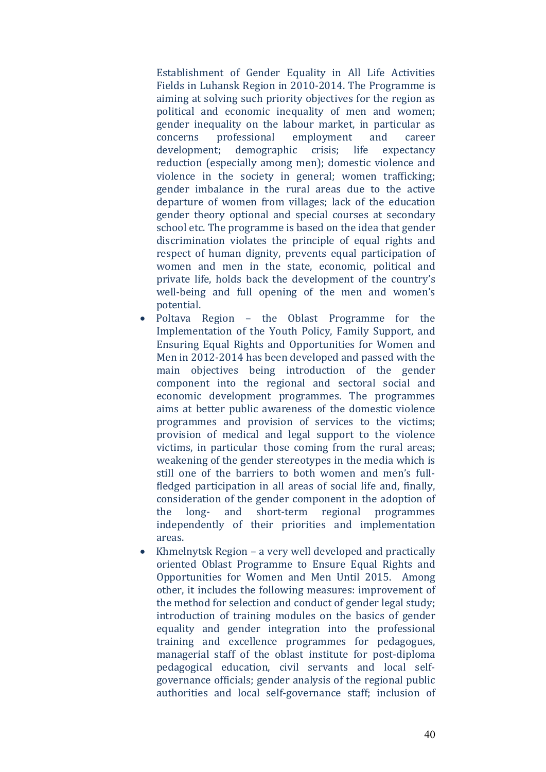Establishment of Gender Equality in All Life Activities Fields in Luhansk Region in 2010-2014. The Programme is aiming at solving such priority objectives for the region as political and economic inequality of men and women; gender inequality on the labour market, in particular as concerns professional employment and career development; demographic crisis; life expectancy reduction (especially among men); domestic violence and violence in the society in general; women trafficking; gender imbalance in the rural areas due to the active departure of women from villages; lack of the education gender theory optional and special courses at secondary school etc. The programme is based on the idea that gender discrimination violates the principle of equal rights and respect of human dignity, prevents equal participation of women and men in the state, economic, political and private life, holds back the development of the country's well-being and full opening of the men and women's potential. 

- Poltava Region the Oblast Programme for the Implementation of the Youth Policy, Family Support, and Ensuring Equal Rights and Opportunities for Women and Men in 2012-2014 has been developed and passed with the main objectives being introduction of the gender component into the regional and sectoral social and economic development programmes. The programmes aims at better public awareness of the domestic violence programmes and provision of services to the victims; provision of medical and legal support to the violence victims, in particular those coming from the rural areas; weakening of the gender stereotypes in the media which is still one of the barriers to both women and men's fullfledged participation in all areas of social life and, finally, consideration of the gender component in the adoption of the long- and short-term regional programmes independently of their priorities and implementation areas.
- Khmelnytsk Region a very well developed and practically oriented Oblast Programme to Ensure Equal Rights and Opportunities for Women and Men Until 2015. Among other, it includes the following measures: improvement of the method for selection and conduct of gender legal study; introduction of training modules on the basics of gender equality and gender integration into the professional training and excellence programmes for pedagogues, managerial staff of the oblast institute for post-diploma pedagogical education, civil servants and local selfgovernance officials; gender analysis of the regional public authorities and local self-governance staff; inclusion of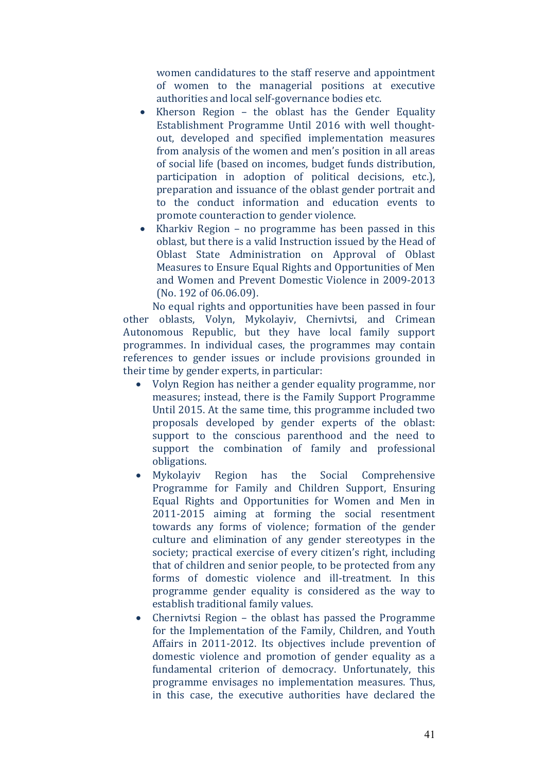women candidatures to the staff reserve and appointment of women to the managerial positions at executive authorities and local self-governance bodies etc.

- Kherson Region the oblast has the Gender Equality Establishment Programme Until 2016 with well thoughtout, developed and specified implementation measures from analysis of the women and men's position in all areas of social life (based on incomes, budget funds distribution, participation in adoption of political decisions, etc.), preparation and issuance of the oblast gender portrait and to the conduct information and education events to promote counteraction to gender violence.
- Kharkiv Region no programme has been passed in this oblast, but there is a valid Instruction issued by the Head of Oblast State Administration on Approval of Oblast Measures to Ensure Equal Rights and Opportunities of Men and Women and Prevent Domestic Violence in 2009-2013 (No. 192 of 06.06.09).

No equal rights and opportunities have been passed in four other oblasts, Volyn, Mykolayiv, Chernivtsi, and Crimean Autonomous Republic, but they have local family support programmes. In individual cases, the programmes may contain references to gender issues or include provisions grounded in their time by gender experts, in particular:

- Volyn Region has neither a gender equality programme, nor measures; instead, there is the Family Support Programme Until 2015. At the same time, this programme included two proposals developed by gender experts of the oblast: support to the conscious parenthood and the need to support the combination of family and professional obligations.
- Mykolayiy Region has the Social Comprehensive Programme for Family and Children Support, Ensuring Equal Rights and Opportunities for Women and Men in 2011-2015 aiming at forming the social resentment towards any forms of violence; formation of the gender culture and elimination of any gender stereotypes in the society; practical exercise of every citizen's right, including that of children and senior people, to be protected from any forms of domestic violence and ill-treatment. In this programme gender equality is considered as the way to establish traditional family values.
- Chernivtsi Region the oblast has passed the Programme for the Implementation of the Family, Children, and Youth Affairs in 2011-2012. Its objectives include prevention of domestic violence and promotion of gender equality as a fundamental criterion of democracy. Unfortunately, this programme envisages no implementation measures. Thus, in this case, the executive authorities have declared the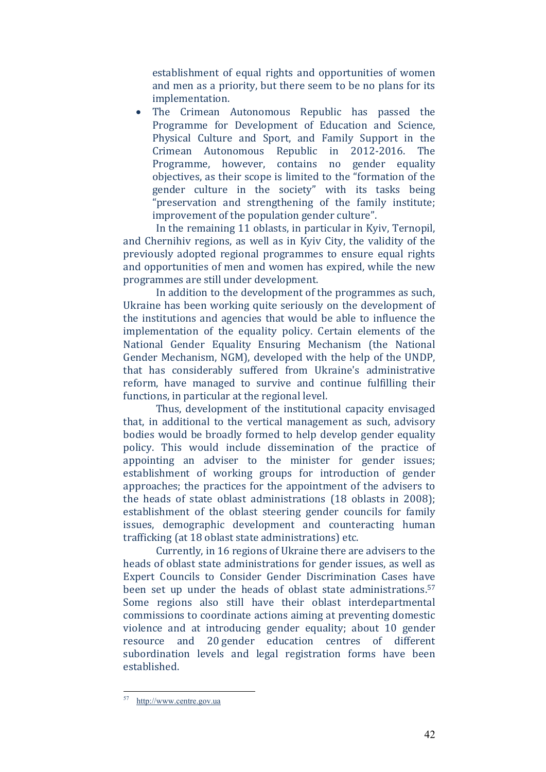establishment of equal rights and opportunities of women and men as a priority, but there seem to be no plans for its implementation. 

• The Crimean Autonomous Republic has passed the Programme for Development of Education and Science, Physical Culture and Sport, and Family Support in the Crimean Autonomous Republic in 2012‐2016. The Programme, however, contains no gender equality objectives, as their scope is limited to the "formation of the gender culture in the society" with its tasks being "preservation and strengthening of the family institute; improvement of the population gender culture".

In the remaining 11 oblasts, in particular in Kyiv, Ternopil, and Chernihiv regions, as well as in Kyiv City, the validity of the previously adopted regional programmes to ensure equal rights and opportunities of men and women has expired, while the new programmes are still under development.

In addition to the development of the programmes as such, Ukraine has been working quite seriously on the development of the institutions and agencies that would be able to influence the implementation of the equality policy. Certain elements of the National Gender Equality Ensuring Mechanism (the National Gender Mechanism, NGM), developed with the help of the UNDP, that has considerably suffered from Ukraine's administrative reform, have managed to survive and continue fulfilling their functions, in particular at the regional level.

Thus, development of the institutional capacity envisaged that, in additional to the vertical management as such, advisory bodies would be broadly formed to help develop gender equality policy. This would include dissemination of the practice of appointing an adviser to the minister for gender issues; establishment of working groups for introduction of gender approaches; the practices for the appointment of the advisers to the heads of state oblast administrations  $(18 \text{ oblasts in } 2008)$ ; establishment of the oblast steering gender councils for family issues, demographic development and counteracting human trafficking (at 18 oblast state administrations) etc.

Currently, in 16 regions of Ukraine there are advisers to the heads of oblast state administrations for gender issues, as well as Expert Councils to Consider Gender Discrimination Cases have been set up under the heads of oblast state administrations.<sup>57</sup> Some regions also still have their oblast interdepartmental commissions to coordinate actions aiming at preventing domestic violence and at introducing gender equality; about 10 gender resource and 20 gender education centres of different subordination levels and legal registration forms have been established. 

<sup>57</sup> http://www.centre.gov.ua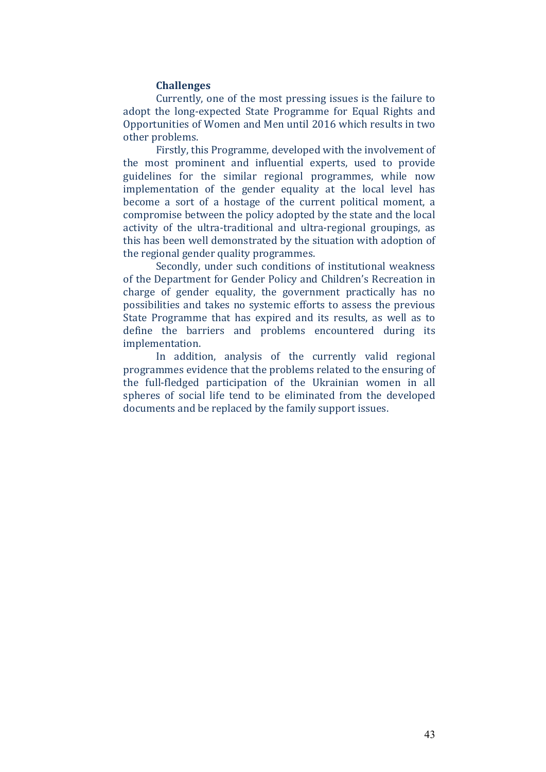#### **Challenges**

Currently, one of the most pressing issues is the failure to adopt the long-expected State Programme for Equal Rights and Opportunities of Women and Men until 2016 which results in two other problems.

Firstly, this Programme, developed with the involvement of the most prominent and influential experts, used to provide guidelines for the similar regional programmes, while now implementation of the gender equality at the local level has become a sort of a hostage of the current political moment, a compromise between the policy adopted by the state and the local activity of the ultra-traditional and ultra-regional groupings, as this has been well demonstrated by the situation with adoption of the regional gender quality programmes.

Secondly, under such conditions of institutional weakness of the Department for Gender Policy and Children's Recreation in charge of gender equality, the government practically has no possibilities and takes no systemic efforts to assess the previous State Programme that has expired and its results, as well as to define the barriers and problems encountered during its implementation. 

In addition, analysis of the currently valid regional programmes evidence that the problems related to the ensuring of the full-fledged participation of the Ukrainian women in all spheres of social life tend to be eliminated from the developed documents and be replaced by the family support issues.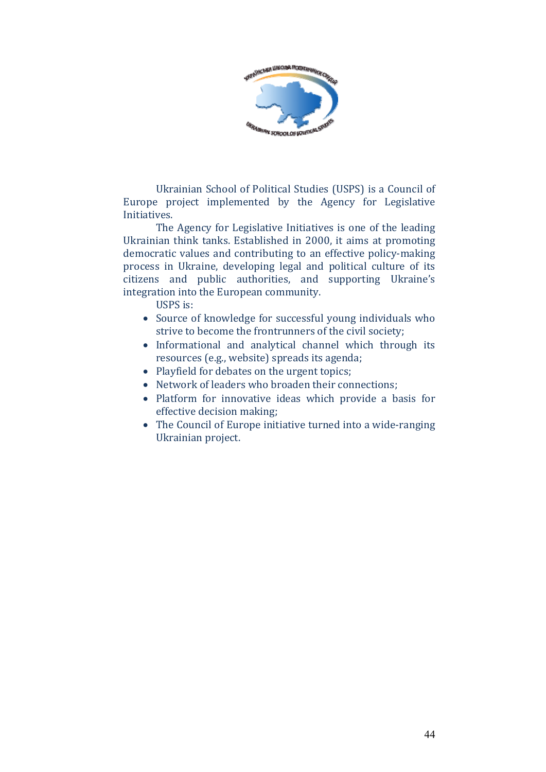

Ukrainian School of Political Studies (USPS) is a Council of Europe project implemented by the Agency for Legislative Initiatives. 

The Agency for Legislative Initiatives is one of the leading Ukrainian think tanks. Established in 2000, it aims at promoting democratic values and contributing to an effective policy-making process in Ukraine, developing legal and political culture of its citizens and public authorities, and supporting Ukraine's integration into the European community.

USPS is:

- Source of knowledge for successful young individuals who strive to become the frontrunners of the civil society;
- Informational and analytical channel which through its resources (e.g., website) spreads its agenda;
- Playfield for debates on the urgent topics;
- Network of leaders who broaden their connections;
- Platform for innovative ideas which provide a basis for effective decision making;
- The Council of Europe initiative turned into a wide-ranging Ukrainian project.